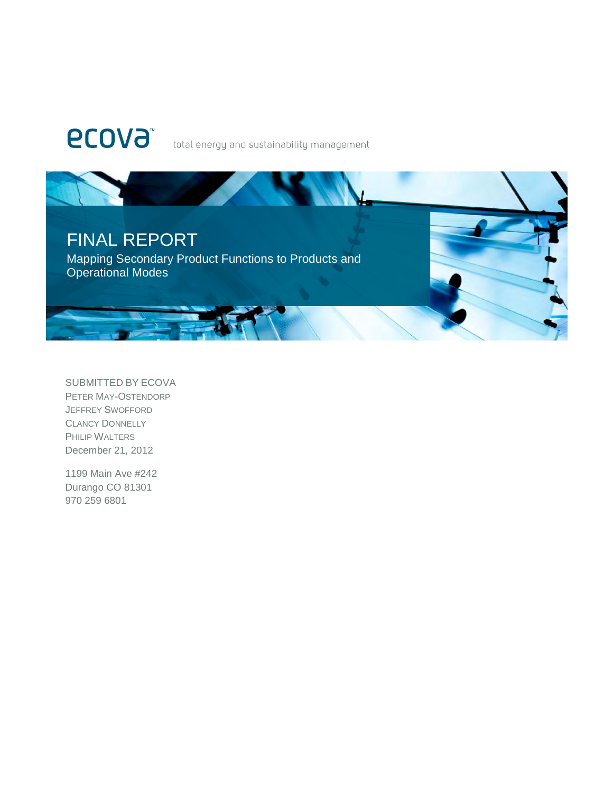# **ECOVA**

total energy and sustainability management



SUBMITTED BY ECOVA PETER MAY-OSTENDORP JEFFREY SWOFFORD CLANCY DONNELLY PHILIP WALTERS December 21, 2012

1199 Main Ave #242 Durango CO 81301 970 259 6801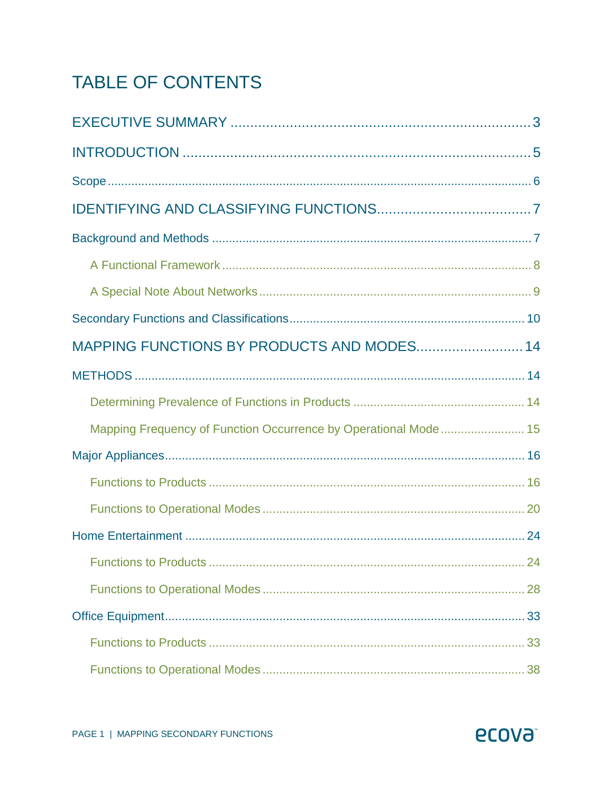## TABLE OF CONTENTS

| MAPPING FUNCTIONS BY PRODUCTS AND MODES 14                      |  |
|-----------------------------------------------------------------|--|
|                                                                 |  |
|                                                                 |  |
| Mapping Frequency of Function Occurrence by Operational Mode 15 |  |
|                                                                 |  |
|                                                                 |  |
|                                                                 |  |
|                                                                 |  |
|                                                                 |  |
|                                                                 |  |
|                                                                 |  |
|                                                                 |  |
|                                                                 |  |

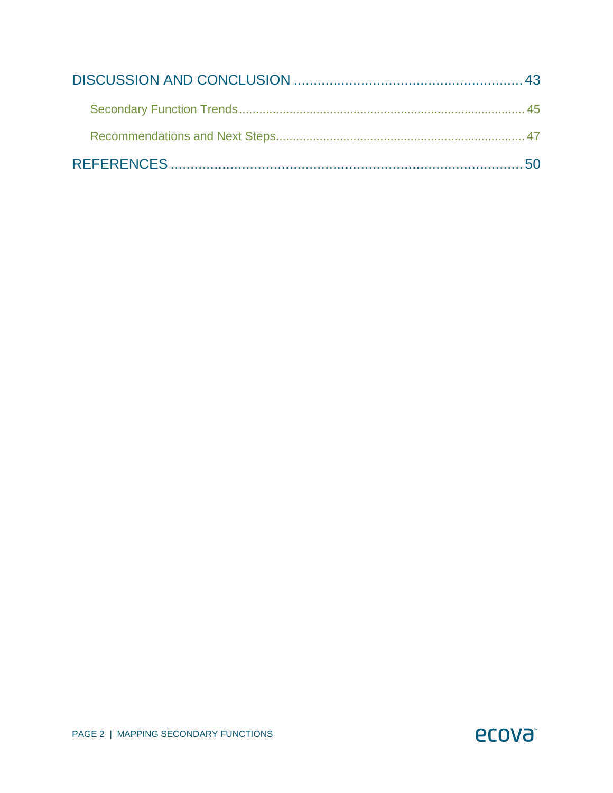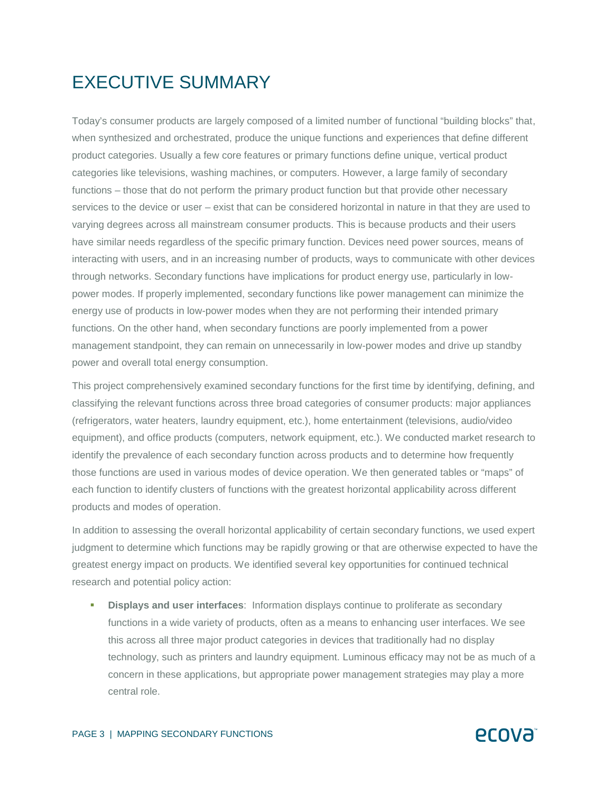## EXECUTIVE SUMMARY

Today's consumer products are largely composed of a limited number of functional "building blocks" that, when synthesized and orchestrated, produce the unique functions and experiences that define different product categories. Usually a few core features or primary functions define unique, vertical product categories like televisions, washing machines, or computers. However, a large family of secondary functions – those that do not perform the primary product function but that provide other necessary services to the device or user – exist that can be considered horizontal in nature in that they are used to varying degrees across all mainstream consumer products. This is because products and their users have similar needs regardless of the specific primary function. Devices need power sources, means of interacting with users, and in an increasing number of products, ways to communicate with other devices through networks. Secondary functions have implications for product energy use, particularly in lowpower modes. If properly implemented, secondary functions like power management can minimize the energy use of products in low-power modes when they are not performing their intended primary functions. On the other hand, when secondary functions are poorly implemented from a power management standpoint, they can remain on unnecessarily in low-power modes and drive up standby power and overall total energy consumption.

This project comprehensively examined secondary functions for the first time by identifying, defining, and classifying the relevant functions across three broad categories of consumer products: major appliances (refrigerators, water heaters, laundry equipment, etc.), home entertainment (televisions, audio/video equipment), and office products (computers, network equipment, etc.). We conducted market research to identify the prevalence of each secondary function across products and to determine how frequently those functions are used in various modes of device operation. We then generated tables or "maps" of each function to identify clusters of functions with the greatest horizontal applicability across different products and modes of operation.

In addition to assessing the overall horizontal applicability of certain secondary functions, we used expert judgment to determine which functions may be rapidly growing or that are otherwise expected to have the greatest energy impact on products. We identified several key opportunities for continued technical research and potential policy action:

 **Displays and user interfaces**: Information displays continue to proliferate as secondary functions in a wide variety of products, often as a means to enhancing user interfaces. We see this across all three major product categories in devices that traditionally had no display technology, such as printers and laundry equipment. Luminous efficacy may not be as much of a concern in these applications, but appropriate power management strategies may play a more central role.

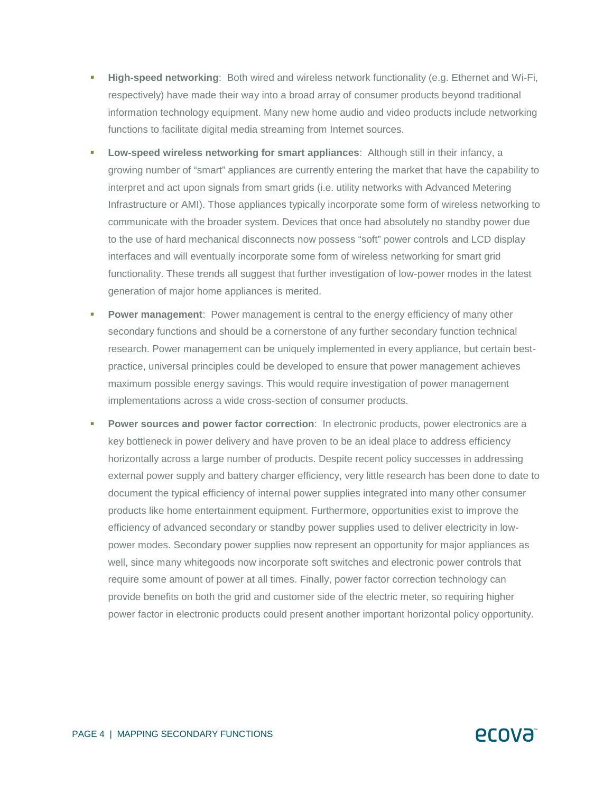- **High-speed networking**: Both wired and wireless network functionality (e.g. Ethernet and Wi-Fi, respectively) have made their way into a broad array of consumer products beyond traditional information technology equipment. Many new home audio and video products include networking functions to facilitate digital media streaming from Internet sources.
- **Low-speed wireless networking for smart appliances**: Although still in their infancy, a growing number of "smart" appliances are currently entering the market that have the capability to interpret and act upon signals from smart grids (i.e. utility networks with Advanced Metering Infrastructure or AMI). Those appliances typically incorporate some form of wireless networking to communicate with the broader system. Devices that once had absolutely no standby power due to the use of hard mechanical disconnects now possess "soft" power controls and LCD display interfaces and will eventually incorporate some form of wireless networking for smart grid functionality. These trends all suggest that further investigation of low-power modes in the latest generation of major home appliances is merited.
- **Power management:** Power management is central to the energy efficiency of many other secondary functions and should be a cornerstone of any further secondary function technical research. Power management can be uniquely implemented in every appliance, but certain bestpractice, universal principles could be developed to ensure that power management achieves maximum possible energy savings. This would require investigation of power management implementations across a wide cross-section of consumer products.
- **Power sources and power factor correction**: In electronic products, power electronics are a key bottleneck in power delivery and have proven to be an ideal place to address efficiency horizontally across a large number of products. Despite recent policy successes in addressing external power supply and battery charger efficiency, very little research has been done to date to document the typical efficiency of internal power supplies integrated into many other consumer products like home entertainment equipment. Furthermore, opportunities exist to improve the efficiency of advanced secondary or standby power supplies used to deliver electricity in lowpower modes. Secondary power supplies now represent an opportunity for major appliances as well, since many whitegoods now incorporate soft switches and electronic power controls that require some amount of power at all times. Finally, power factor correction technology can provide benefits on both the grid and customer side of the electric meter, so requiring higher power factor in electronic products could present another important horizontal policy opportunity.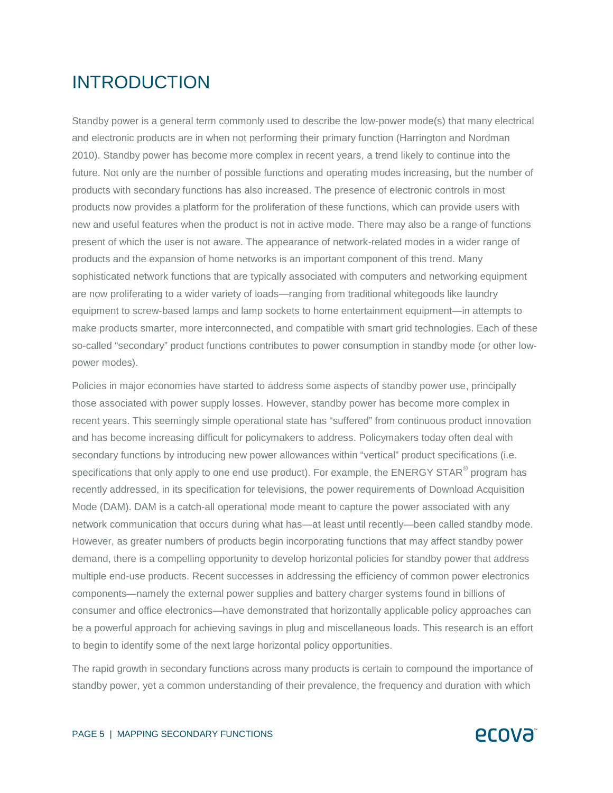## INTRODUCTION

Standby power is a general term commonly used to describe the low-power mode(s) that many electrical and electronic products are in when not performing their primary function (Harrington and Nordman 2010). Standby power has become more complex in recent years, a trend likely to continue into the future. Not only are the number of possible functions and operating modes increasing, but the number of products with secondary functions has also increased. The presence of electronic controls in most products now provides a platform for the proliferation of these functions, which can provide users with new and useful features when the product is not in active mode. There may also be a range of functions present of which the user is not aware. The appearance of network-related modes in a wider range of products and the expansion of home networks is an important component of this trend. Many sophisticated network functions that are typically associated with computers and networking equipment are now proliferating to a wider variety of loads—ranging from traditional whitegoods like laundry equipment to screw-based lamps and lamp sockets to home entertainment equipment—in attempts to make products smarter, more interconnected, and compatible with smart grid technologies. Each of these so-called "secondary" product functions contributes to power consumption in standby mode (or other lowpower modes).

Policies in major economies have started to address some aspects of standby power use, principally those associated with power supply losses. However, standby power has become more complex in recent years. This seemingly simple operational state has "suffered" from continuous product innovation and has become increasing difficult for policymakers to address. Policymakers today often deal with secondary functions by introducing new power allowances within "vertical" product specifications (i.e. specifications that only apply to one end use product). For example, the ENERGY STAR $^\circ$  program has recently addressed, in its specification for televisions, the power requirements of Download Acquisition Mode (DAM). DAM is a catch-all operational mode meant to capture the power associated with any network communication that occurs during what has—at least until recently—been called standby mode. However, as greater numbers of products begin incorporating functions that may affect standby power demand, there is a compelling opportunity to develop horizontal policies for standby power that address multiple end-use products. Recent successes in addressing the efficiency of common power electronics components—namely the external power supplies and battery charger systems found in billions of consumer and office electronics—have demonstrated that horizontally applicable policy approaches can be a powerful approach for achieving savings in plug and miscellaneous loads. This research is an effort to begin to identify some of the next large horizontal policy opportunities.

The rapid growth in secondary functions across many products is certain to compound the importance of standby power, yet a common understanding of their prevalence, the frequency and duration with which

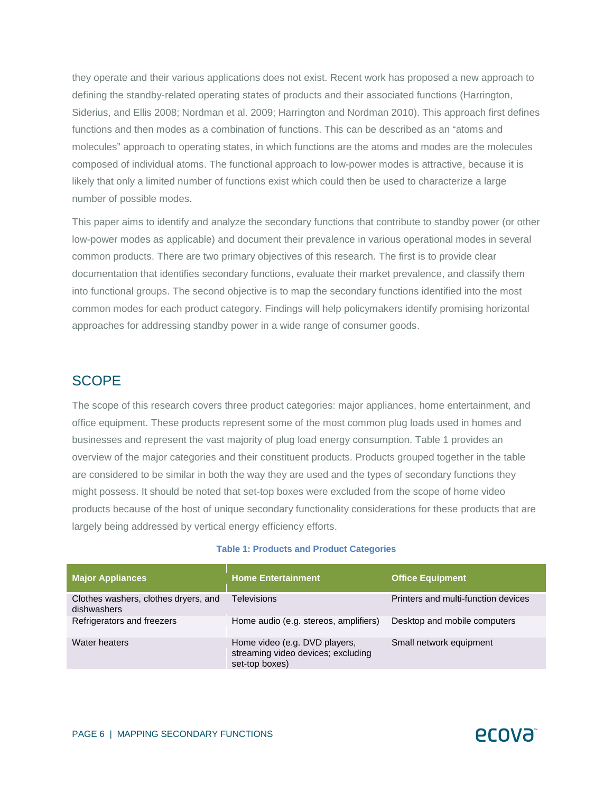they operate and their various applications does not exist. Recent work has proposed a new approach to defining the standby-related operating states of products and their associated functions (Harrington, Siderius, and Ellis 2008; Nordman et al. 2009; Harrington and Nordman 2010). This approach first defines functions and then modes as a combination of functions. This can be described as an "atoms and molecules" approach to operating states, in which functions are the atoms and modes are the molecules composed of individual atoms. The functional approach to low-power modes is attractive, because it is likely that only a limited number of functions exist which could then be used to characterize a large number of possible modes.

This paper aims to identify and analyze the secondary functions that contribute to standby power (or other low-power modes as applicable) and document their prevalence in various operational modes in several common products. There are two primary objectives of this research. The first is to provide clear documentation that identifies secondary functions, evaluate their market prevalence, and classify them into functional groups. The second objective is to map the secondary functions identified into the most common modes for each product category. Findings will help policymakers identify promising horizontal approaches for addressing standby power in a wide range of consumer goods.

#### **SCOPE**

The scope of this research covers three product categories: major appliances, home entertainment, and office equipment. These products represent some of the most common plug loads used in homes and businesses and represent the vast majority of plug load energy consumption. Table 1 provides an overview of the major categories and their constituent products. Products grouped together in the table are considered to be similar in both the way they are used and the types of secondary functions they might possess. It should be noted that set-top boxes were excluded from the scope of home video products because of the host of unique secondary functionality considerations for these products that are largely being addressed by vertical energy efficiency efforts.

#### **Table 1: Products and Product Categories**

| <b>Major Appliances</b>                             | <b>Home Entertainment</b>                                                             | <b>Office Equipment</b>             |
|-----------------------------------------------------|---------------------------------------------------------------------------------------|-------------------------------------|
| Clothes washers, clothes dryers, and<br>dishwashers | <b>Televisions</b>                                                                    | Printers and multi-function devices |
| Refrigerators and freezers                          | Home audio (e.g. stereos, amplifiers)                                                 | Desktop and mobile computers        |
| Water heaters                                       | Home video (e.g. DVD players,<br>streaming video devices; excluding<br>set-top boxes) | Small network equipment             |

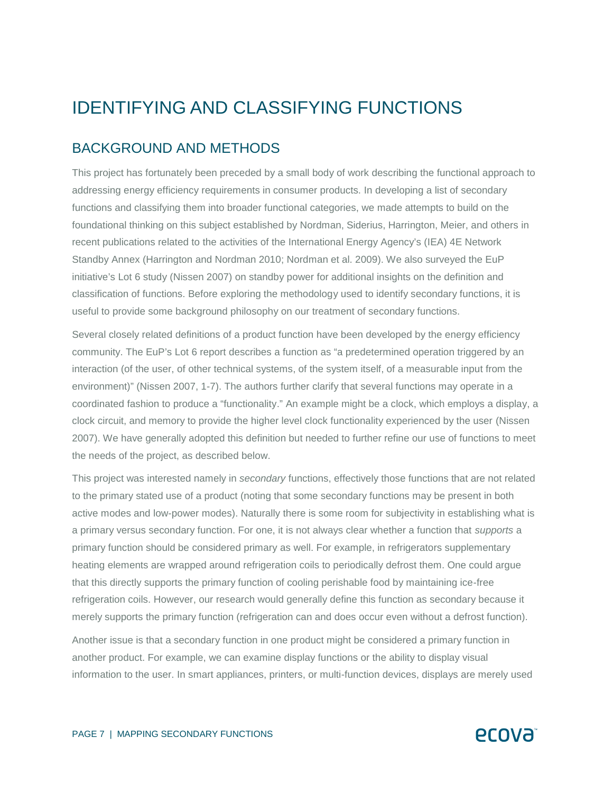## IDENTIFYING AND CLASSIFYING FUNCTIONS

### BACKGROUND AND METHODS

This project has fortunately been preceded by a small body of work describing the functional approach to addressing energy efficiency requirements in consumer products. In developing a list of secondary functions and classifying them into broader functional categories, we made attempts to build on the foundational thinking on this subject established by Nordman, Siderius, Harrington, Meier, and others in recent publications related to the activities of the International Energy Agency's (IEA) 4E Network Standby Annex (Harrington and Nordman 2010; Nordman et al. 2009). We also surveyed the EuP initiative's Lot 6 study (Nissen 2007) on standby power for additional insights on the definition and classification of functions. Before exploring the methodology used to identify secondary functions, it is useful to provide some background philosophy on our treatment of secondary functions.

Several closely related definitions of a product function have been developed by the energy efficiency community. The EuP's Lot 6 report describes a function as "a predetermined operation triggered by an interaction (of the user, of other technical systems, of the system itself, of a measurable input from the environment)" (Nissen 2007, 1-7). The authors further clarify that several functions may operate in a coordinated fashion to produce a "functionality." An example might be a clock, which employs a display, a clock circuit, and memory to provide the higher level clock functionality experienced by the user (Nissen 2007). We have generally adopted this definition but needed to further refine our use of functions to meet the needs of the project, as described below.

This project was interested namely in *secondary* functions, effectively those functions that are not related to the primary stated use of a product (noting that some secondary functions may be present in both active modes and low-power modes). Naturally there is some room for subjectivity in establishing what is a primary versus secondary function. For one, it is not always clear whether a function that *supports* a primary function should be considered primary as well. For example, in refrigerators supplementary heating elements are wrapped around refrigeration coils to periodically defrost them. One could argue that this directly supports the primary function of cooling perishable food by maintaining ice-free refrigeration coils. However, our research would generally define this function as secondary because it merely supports the primary function (refrigeration can and does occur even without a defrost function).

Another issue is that a secondary function in one product might be considered a primary function in another product. For example, we can examine display functions or the ability to display visual information to the user. In smart appliances, printers, or multi-function devices, displays are merely used

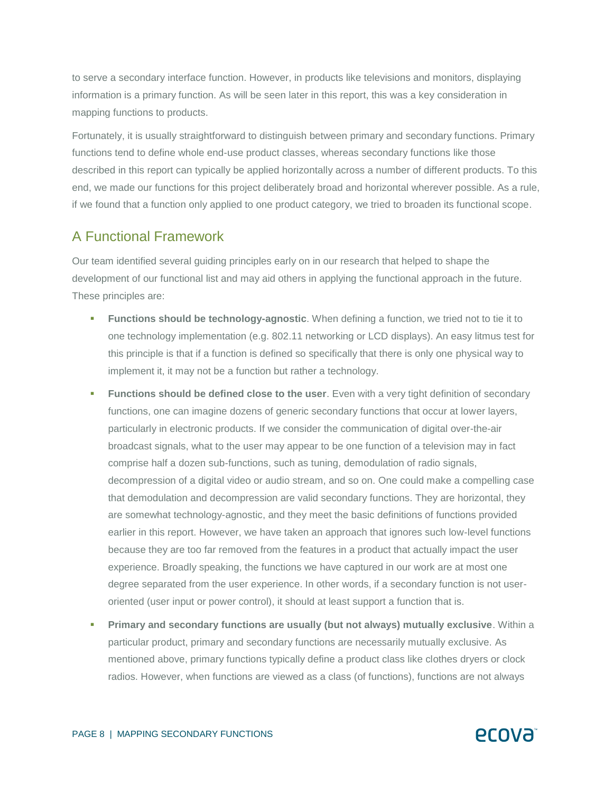to serve a secondary interface function. However, in products like televisions and monitors, displaying information is a primary function. As will be seen later in this report, this was a key consideration in mapping functions to products.

Fortunately, it is usually straightforward to distinguish between primary and secondary functions. Primary functions tend to define whole end-use product classes, whereas secondary functions like those described in this report can typically be applied horizontally across a number of different products. To this end, we made our functions for this project deliberately broad and horizontal wherever possible. As a rule, if we found that a function only applied to one product category, we tried to broaden its functional scope.

### A Functional Framework

Our team identified several guiding principles early on in our research that helped to shape the development of our functional list and may aid others in applying the functional approach in the future. These principles are:

- **Functions should be technology-agnostic**. When defining a function, we tried not to tie it to one technology implementation (e.g. 802.11 networking or LCD displays). An easy litmus test for this principle is that if a function is defined so specifically that there is only one physical way to implement it, it may not be a function but rather a technology.
- **Functions should be defined close to the user**. Even with a very tight definition of secondary functions, one can imagine dozens of generic secondary functions that occur at lower layers, particularly in electronic products. If we consider the communication of digital over-the-air broadcast signals, what to the user may appear to be one function of a television may in fact comprise half a dozen sub-functions, such as tuning, demodulation of radio signals, decompression of a digital video or audio stream, and so on. One could make a compelling case that demodulation and decompression are valid secondary functions. They are horizontal, they are somewhat technology-agnostic, and they meet the basic definitions of functions provided earlier in this report. However, we have taken an approach that ignores such low-level functions because they are too far removed from the features in a product that actually impact the user experience. Broadly speaking, the functions we have captured in our work are at most one degree separated from the user experience. In other words, if a secondary function is not useroriented (user input or power control), it should at least support a function that is.
- **Primary and secondary functions are usually (but not always) mutually exclusive**. Within a particular product, primary and secondary functions are necessarily mutually exclusive. As mentioned above, primary functions typically define a product class like clothes dryers or clock radios. However, when functions are viewed as a class (of functions), functions are not always

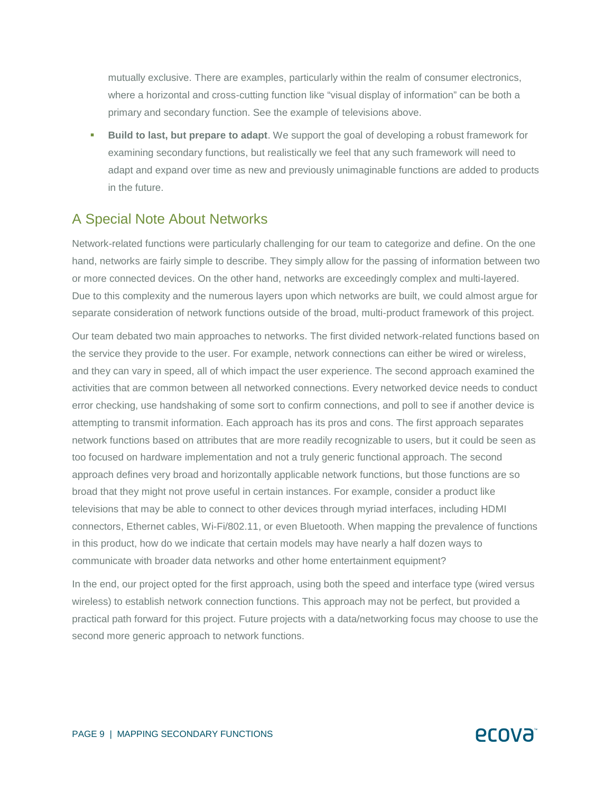mutually exclusive. There are examples, particularly within the realm of consumer electronics, where a horizontal and cross-cutting function like "visual display of information" can be both a primary and secondary function. See the example of televisions above.

 **Build to last, but prepare to adapt**. We support the goal of developing a robust framework for examining secondary functions, but realistically we feel that any such framework will need to adapt and expand over time as new and previously unimaginable functions are added to products in the future.

#### A Special Note About Networks

Network-related functions were particularly challenging for our team to categorize and define. On the one hand, networks are fairly simple to describe. They simply allow for the passing of information between two or more connected devices. On the other hand, networks are exceedingly complex and multi-layered. Due to this complexity and the numerous layers upon which networks are built, we could almost argue for separate consideration of network functions outside of the broad, multi-product framework of this project.

Our team debated two main approaches to networks. The first divided network-related functions based on the service they provide to the user. For example, network connections can either be wired or wireless, and they can vary in speed, all of which impact the user experience. The second approach examined the activities that are common between all networked connections. Every networked device needs to conduct error checking, use handshaking of some sort to confirm connections, and poll to see if another device is attempting to transmit information. Each approach has its pros and cons. The first approach separates network functions based on attributes that are more readily recognizable to users, but it could be seen as too focused on hardware implementation and not a truly generic functional approach. The second approach defines very broad and horizontally applicable network functions, but those functions are so broad that they might not prove useful in certain instances. For example, consider a product like televisions that may be able to connect to other devices through myriad interfaces, including HDMI connectors, Ethernet cables, Wi-Fi/802.11, or even Bluetooth. When mapping the prevalence of functions in this product, how do we indicate that certain models may have nearly a half dozen ways to communicate with broader data networks and other home entertainment equipment?

In the end, our project opted for the first approach, using both the speed and interface type (wired versus wireless) to establish network connection functions. This approach may not be perfect, but provided a practical path forward for this project. Future projects with a data/networking focus may choose to use the second more generic approach to network functions.

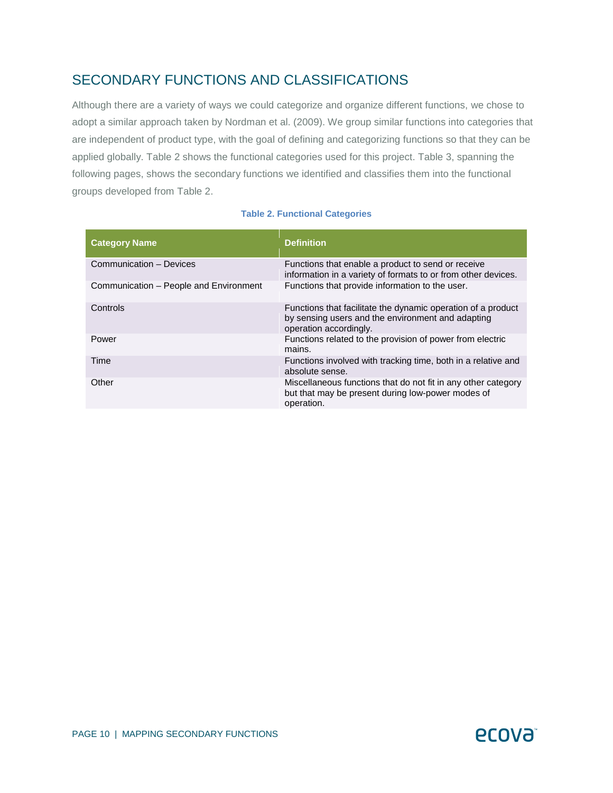## SECONDARY FUNCTIONS AND CLASSIFICATIONS

Although there are a variety of ways we could categorize and organize different functions, we chose to adopt a similar approach taken by Nordman et al. (2009). We group similar functions into categories that are independent of product type, with the goal of defining and categorizing functions so that they can be applied globally. Table 2 shows the functional categories used for this project. Table 3, spanning the following pages, shows the secondary functions we identified and classifies them into the functional groups developed from Table 2.

#### **Table 2. Functional Categories**

| <b>Category Name</b>                   | <b>Definition</b>                                                                                                                           |
|----------------------------------------|---------------------------------------------------------------------------------------------------------------------------------------------|
| Communication - Devices                | Functions that enable a product to send or receive<br>information in a variety of formats to or from other devices.                         |
| Communication – People and Environment | Functions that provide information to the user.                                                                                             |
| Controls                               | Functions that facilitate the dynamic operation of a product<br>by sensing users and the environment and adapting<br>operation accordingly. |
| Power                                  | Functions related to the provision of power from electric<br>mains.                                                                         |
| Time                                   | Functions involved with tracking time, both in a relative and<br>absolute sense.                                                            |
| Other                                  | Miscellaneous functions that do not fit in any other category<br>but that may be present during low-power modes of<br>operation.            |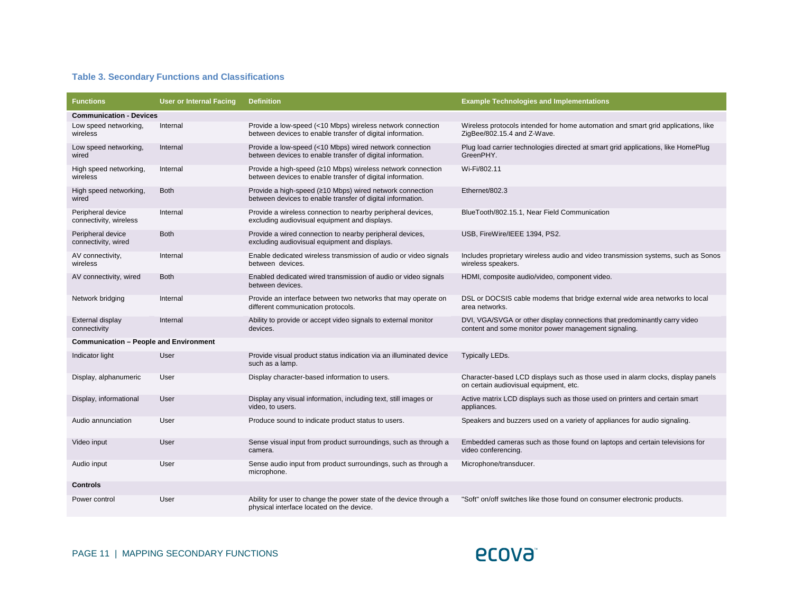#### **Table 3. Secondary Functions and Classifications**

| <b>Functions</b>                              | <b>User or Internal Facing</b> | <b>Definition</b>                                                                                                         | <b>Example Technologies and Implementations</b>                                                                                   |
|-----------------------------------------------|--------------------------------|---------------------------------------------------------------------------------------------------------------------------|-----------------------------------------------------------------------------------------------------------------------------------|
| <b>Communication - Devices</b>                |                                |                                                                                                                           |                                                                                                                                   |
| Low speed networking,<br>wireless             | Internal                       | Provide a low-speed (<10 Mbps) wireless network connection<br>between devices to enable transfer of digital information.  | Wireless protocols intended for home automation and smart grid applications, like<br>ZigBee/802.15.4 and Z-Wave.                  |
| Low speed networking,<br>wired                | Internal                       | Provide a low-speed (<10 Mbps) wired network connection<br>between devices to enable transfer of digital information.     | Plug load carrier technologies directed at smart grid applications, like HomePlug<br>GreenPHY.                                    |
| High speed networking,<br>wireless            | Internal                       | Provide a high-speed (≥10 Mbps) wireless network connection<br>between devices to enable transfer of digital information. | Wi-Fi/802.11                                                                                                                      |
| High speed networking,<br>wired               | <b>Both</b>                    | Provide a high-speed (≥10 Mbps) wired network connection<br>between devices to enable transfer of digital information.    | Ethernet/802.3                                                                                                                    |
| Peripheral device<br>connectivity, wireless   | Internal                       | Provide a wireless connection to nearby peripheral devices,<br>excluding audiovisual equipment and displays.              | BlueTooth/802.15.1, Near Field Communication                                                                                      |
| Peripheral device<br>connectivity, wired      | <b>Both</b>                    | Provide a wired connection to nearby peripheral devices,<br>excluding audiovisual equipment and displays.                 | USB, FireWire/IEEE 1394, PS2.                                                                                                     |
| AV connectivity,<br>wireless                  | Internal                       | Enable dedicated wireless transmission of audio or video signals<br>between devices.                                      | Includes proprietary wireless audio and video transmission systems, such as Sonos<br>wireless speakers.                           |
| AV connectivity, wired                        | <b>Both</b>                    | Enabled dedicated wired transmission of audio or video signals<br>between devices.                                        | HDMI, composite audio/video, component video.                                                                                     |
| Network bridging                              | Internal                       | Provide an interface between two networks that may operate on<br>different communication protocols.                       | DSL or DOCSIS cable modems that bridge external wide area networks to local<br>area networks.                                     |
| External display<br>connectivity              | Internal                       | Ability to provide or accept video signals to external monitor<br>devices.                                                | DVI, VGA/SVGA or other display connections that predominantly carry video<br>content and some monitor power management signaling. |
| <b>Communication - People and Environment</b> |                                |                                                                                                                           |                                                                                                                                   |
| Indicator light                               | User                           | Provide visual product status indication via an illuminated device<br>such as a lamp.                                     | <b>Typically LEDs.</b>                                                                                                            |
| Display, alphanumeric                         | User                           | Display character-based information to users.                                                                             | Character-based LCD displays such as those used in alarm clocks, display panels<br>on certain audiovisual equipment, etc.         |
| Display, informational                        | User                           | Display any visual information, including text, still images or<br>video, to users.                                       | Active matrix LCD displays such as those used on printers and certain smart<br>appliances.                                        |
| Audio annunciation                            | User                           | Produce sound to indicate product status to users.                                                                        | Speakers and buzzers used on a variety of appliances for audio signaling.                                                         |
| Video input                                   | User                           | Sense visual input from product surroundings, such as through a<br>camera.                                                | Embedded cameras such as those found on laptops and certain televisions for<br>video conferencing.                                |
| Audio input                                   | User                           | Sense audio input from product surroundings, such as through a<br>microphone.                                             | Microphone/transducer.                                                                                                            |
| <b>Controls</b>                               |                                |                                                                                                                           |                                                                                                                                   |
| Power control                                 | User                           | Ability for user to change the power state of the device through a<br>physical interface located on the device.           | "Soft" on/off switches like those found on consumer electronic products.                                                          |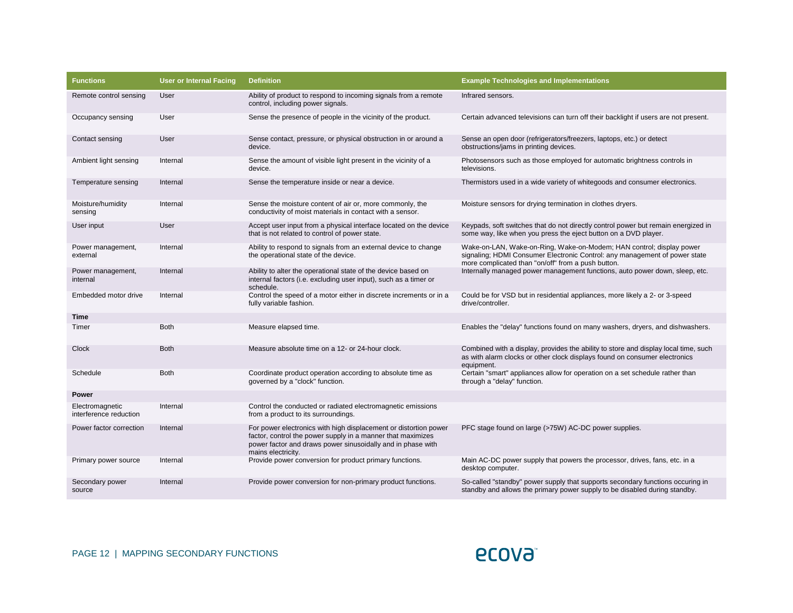| <b>Functions</b>                          | <b>User or Internal Facing</b> | <b>Definition</b>                                                                                                                                                                                                    | <b>Example Technologies and Implementations</b>                                                                                                                                                          |
|-------------------------------------------|--------------------------------|----------------------------------------------------------------------------------------------------------------------------------------------------------------------------------------------------------------------|----------------------------------------------------------------------------------------------------------------------------------------------------------------------------------------------------------|
| Remote control sensing                    | User                           | Ability of product to respond to incoming signals from a remote<br>control, including power signals.                                                                                                                 | Infrared sensors.                                                                                                                                                                                        |
| Occupancy sensing                         | User                           | Sense the presence of people in the vicinity of the product.                                                                                                                                                         | Certain advanced televisions can turn off their backlight if users are not present.                                                                                                                      |
| Contact sensing                           | User                           | Sense contact, pressure, or physical obstruction in or around a<br>device.                                                                                                                                           | Sense an open door (refrigerators/freezers, laptops, etc.) or detect<br>obstructions/jams in printing devices.                                                                                           |
| Ambient light sensing                     | Internal                       | Sense the amount of visible light present in the vicinity of a<br>device.                                                                                                                                            | Photosensors such as those employed for automatic brightness controls in<br>televisions.                                                                                                                 |
| Temperature sensing                       | Internal                       | Sense the temperature inside or near a device.                                                                                                                                                                       | Thermistors used in a wide variety of whitegoods and consumer electronics.                                                                                                                               |
| Moisture/humidity<br>sensing              | Internal                       | Sense the moisture content of air or, more commonly, the<br>conductivity of moist materials in contact with a sensor.                                                                                                | Moisture sensors for drying termination in clothes dryers.                                                                                                                                               |
| User input                                | User                           | Accept user input from a physical interface located on the device<br>that is not related to control of power state.                                                                                                  | Keypads, soft switches that do not directly control power but remain energized in<br>some way, like when you press the eject button on a DVD player.                                                     |
| Power management,<br>external             | Internal                       | Ability to respond to signals from an external device to change<br>the operational state of the device.                                                                                                              | Wake-on-LAN, Wake-on-Ring, Wake-on-Modem; HAN control; display power<br>signaling; HDMI Consumer Electronic Control: any management of power state<br>more complicated than "on/off" from a push button. |
| Power management,<br>internal             | Internal                       | Ability to alter the operational state of the device based on<br>internal factors (i.e. excluding user input), such as a timer or<br>schedule.                                                                       | Internally managed power management functions, auto power down, sleep, etc.                                                                                                                              |
| Embedded motor drive                      | Internal                       | Control the speed of a motor either in discrete increments or in a<br>fully variable fashion.                                                                                                                        | Could be for VSD but in residential appliances, more likely a 2- or 3-speed<br>drive/controller.                                                                                                         |
| Time                                      |                                |                                                                                                                                                                                                                      |                                                                                                                                                                                                          |
| Timer                                     | <b>Both</b>                    | Measure elapsed time.                                                                                                                                                                                                | Enables the "delay" functions found on many washers, dryers, and dishwashers.                                                                                                                            |
| Clock                                     | <b>Both</b>                    | Measure absolute time on a 12- or 24-hour clock.                                                                                                                                                                     | Combined with a display, provides the ability to store and display local time, such<br>as with alarm clocks or other clock displays found on consumer electronics<br>equipment.                          |
| Schedule                                  | <b>Both</b>                    | Coordinate product operation according to absolute time as<br>governed by a "clock" function.                                                                                                                        | Certain "smart" appliances allow for operation on a set schedule rather than<br>through a "delay" function.                                                                                              |
| <b>Power</b>                              |                                |                                                                                                                                                                                                                      |                                                                                                                                                                                                          |
| Electromagnetic<br>interference reduction | Internal                       | Control the conducted or radiated electromagnetic emissions<br>from a product to its surroundings.                                                                                                                   |                                                                                                                                                                                                          |
| Power factor correction                   | Internal                       | For power electronics with high displacement or distortion power<br>factor, control the power supply in a manner that maximizes<br>power factor and draws power sinusoidally and in phase with<br>mains electricity. | PFC stage found on large (>75W) AC-DC power supplies.                                                                                                                                                    |
| Primary power source                      | Internal                       | Provide power conversion for product primary functions.                                                                                                                                                              | Main AC-DC power supply that powers the processor, drives, fans, etc. in a<br>desktop computer.                                                                                                          |
| Secondary power<br>source                 | Internal                       | Provide power conversion for non-primary product functions.                                                                                                                                                          | So-called "standby" power supply that supports secondary functions occuring in<br>standby and allows the primary power supply to be disabled during standby.                                             |

**ECOVƏ**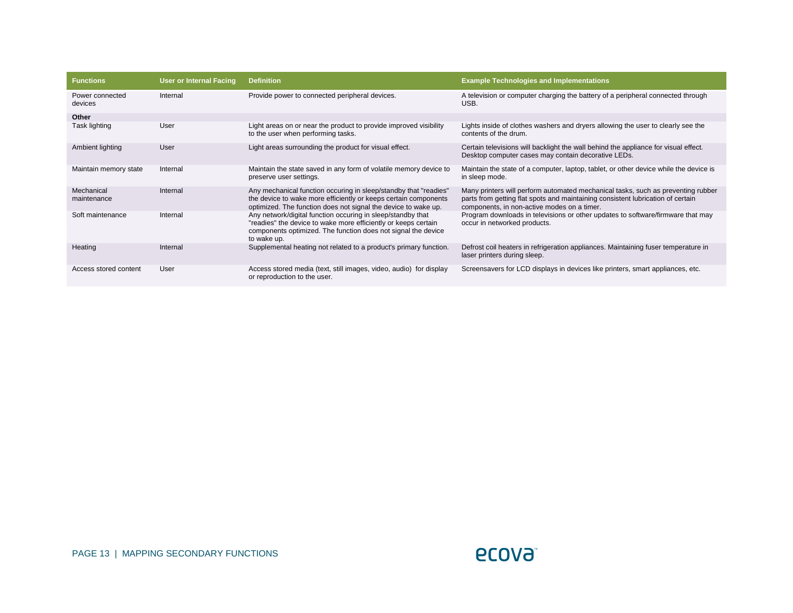| <b>Functions</b>           | <b>User or Internal Facing</b> | <b>Definition</b>                                                                                                                                                                                             | <b>Example Technologies and Implementations</b>                                                                                                                                                                    |
|----------------------------|--------------------------------|---------------------------------------------------------------------------------------------------------------------------------------------------------------------------------------------------------------|--------------------------------------------------------------------------------------------------------------------------------------------------------------------------------------------------------------------|
| Power connected<br>devices | Internal                       | Provide power to connected peripheral devices.                                                                                                                                                                | A television or computer charging the battery of a peripheral connected through<br>USB.                                                                                                                            |
| Other                      |                                |                                                                                                                                                                                                               |                                                                                                                                                                                                                    |
| Task lighting              | User                           | Light areas on or near the product to provide improved visibility<br>to the user when performing tasks.                                                                                                       | Lights inside of clothes washers and dryers allowing the user to clearly see the<br>contents of the drum.                                                                                                          |
| Ambient lighting           | User                           | Light areas surrounding the product for visual effect.                                                                                                                                                        | Certain televisions will backlight the wall behind the appliance for visual effect.<br>Desktop computer cases may contain decorative LEDs.                                                                         |
| Maintain memory state      | Internal                       | Maintain the state saved in any form of volatile memory device to<br>preserve user settings.                                                                                                                  | Maintain the state of a computer, laptop, tablet, or other device while the device is<br>in sleep mode.                                                                                                            |
| Mechanical<br>maintenance  | Internal                       | Any mechanical function occuring in sleep/standby that "readies"<br>the device to wake more efficiently or keeps certain components<br>optimized. The function does not signal the device to wake up.         | Many printers will perform automated mechanical tasks, such as preventing rubber<br>parts from getting flat spots and maintaining consistent lubrication of certain<br>components, in non-active modes on a timer. |
| Soft maintenance           | Internal                       | Any network/digital function occuring in sleep/standby that<br>"readies" the device to wake more efficiently or keeps certain<br>components optimized. The function does not signal the device<br>to wake up. | Program downloads in televisions or other updates to software/firmware that may<br>occur in networked products.                                                                                                    |
| Heating                    | Internal                       | Supplemental heating not related to a product's primary function.                                                                                                                                             | Defrost coil heaters in refrigeration appliances. Maintaining fuser temperature in<br>laser printers during sleep.                                                                                                 |
| Access stored content      | User                           | Access stored media (text, still images, video, audio) for display<br>or reproduction to the user.                                                                                                            | Screensavers for LCD displays in devices like printers, smart appliances, etc.                                                                                                                                     |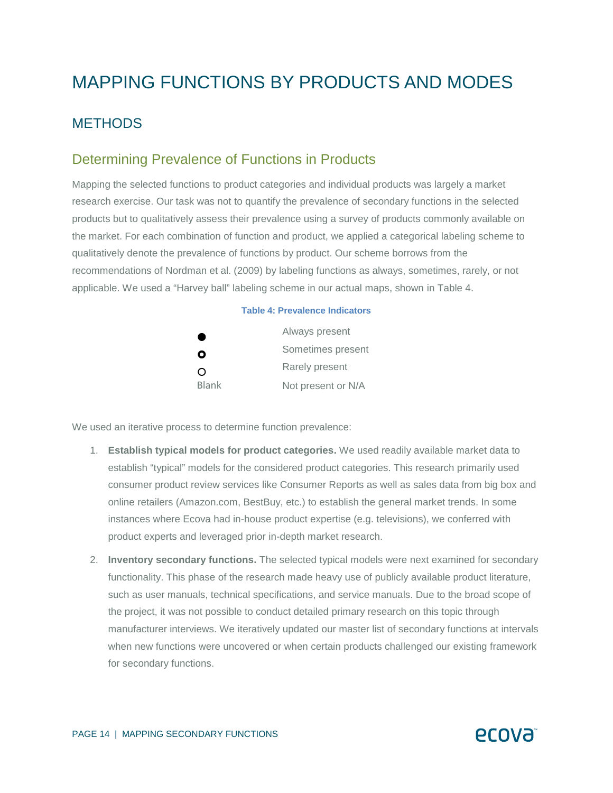## MAPPING FUNCTIONS BY PRODUCTS AND MODES

### **METHODS**

### Determining Prevalence of Functions in Products

Mapping the selected functions to product categories and individual products was largely a market research exercise. Our task was not to quantify the prevalence of secondary functions in the selected products but to qualitatively assess their prevalence using a survey of products commonly available on the market. For each combination of function and product, we applied a categorical labeling scheme to qualitatively denote the prevalence of functions by product. Our scheme borrows from the recommendations of Nordman et al. (2009) by labeling functions as always, sometimes, rarely, or not applicable. We used a "Harvey ball" labeling scheme in our actual maps, shown in Table 4.

## **Table 4: Prevalence Indicators**  Always present **Q** Sometimes present  $\Omega$  Rarely present Blank Not present or N/A

We used an iterative process to determine function prevalence:

- 1. **Establish typical models for product categories.** We used readily available market data to establish "typical" models for the considered product categories. This research primarily used consumer product review services like Consumer Reports as well as sales data from big box and online retailers (Amazon.com, BestBuy, etc.) to establish the general market trends. In some instances where Ecova had in-house product expertise (e.g. televisions), we conferred with product experts and leveraged prior in-depth market research.
- 2. **Inventory secondary functions.** The selected typical models were next examined for secondary functionality. This phase of the research made heavy use of publicly available product literature, such as user manuals, technical specifications, and service manuals. Due to the broad scope of the project, it was not possible to conduct detailed primary research on this topic through manufacturer interviews. We iteratively updated our master list of secondary functions at intervals when new functions were uncovered or when certain products challenged our existing framework for secondary functions.

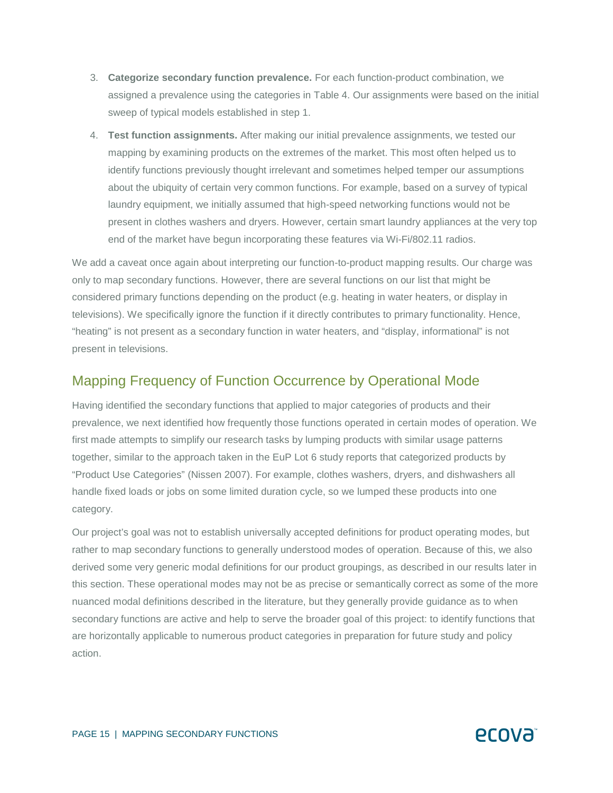- 3. **Categorize secondary function prevalence.** For each function-product combination, we assigned a prevalence using the categories in Table 4. Our assignments were based on the initial sweep of typical models established in step 1.
- 4. **Test function assignments.** After making our initial prevalence assignments, we tested our mapping by examining products on the extremes of the market. This most often helped us to identify functions previously thought irrelevant and sometimes helped temper our assumptions about the ubiquity of certain very common functions. For example, based on a survey of typical laundry equipment, we initially assumed that high-speed networking functions would not be present in clothes washers and dryers. However, certain smart laundry appliances at the very top end of the market have begun incorporating these features via Wi-Fi/802.11 radios.

We add a caveat once again about interpreting our function-to-product mapping results. Our charge was only to map secondary functions. However, there are several functions on our list that might be considered primary functions depending on the product (e.g. heating in water heaters, or display in televisions). We specifically ignore the function if it directly contributes to primary functionality. Hence, "heating" is not present as a secondary function in water heaters, and "display, informational" is not present in televisions.

#### Mapping Frequency of Function Occurrence by Operational Mode

Having identified the secondary functions that applied to major categories of products and their prevalence, we next identified how frequently those functions operated in certain modes of operation. We first made attempts to simplify our research tasks by lumping products with similar usage patterns together, similar to the approach taken in the EuP Lot 6 study reports that categorized products by "Product Use Categories" (Nissen 2007). For example, clothes washers, dryers, and dishwashers all handle fixed loads or jobs on some limited duration cycle, so we lumped these products into one category.

Our project's goal was not to establish universally accepted definitions for product operating modes, but rather to map secondary functions to generally understood modes of operation. Because of this, we also derived some very generic modal definitions for our product groupings, as described in our results later in this section. These operational modes may not be as precise or semantically correct as some of the more nuanced modal definitions described in the literature, but they generally provide guidance as to when secondary functions are active and help to serve the broader goal of this project: to identify functions that are horizontally applicable to numerous product categories in preparation for future study and policy action.

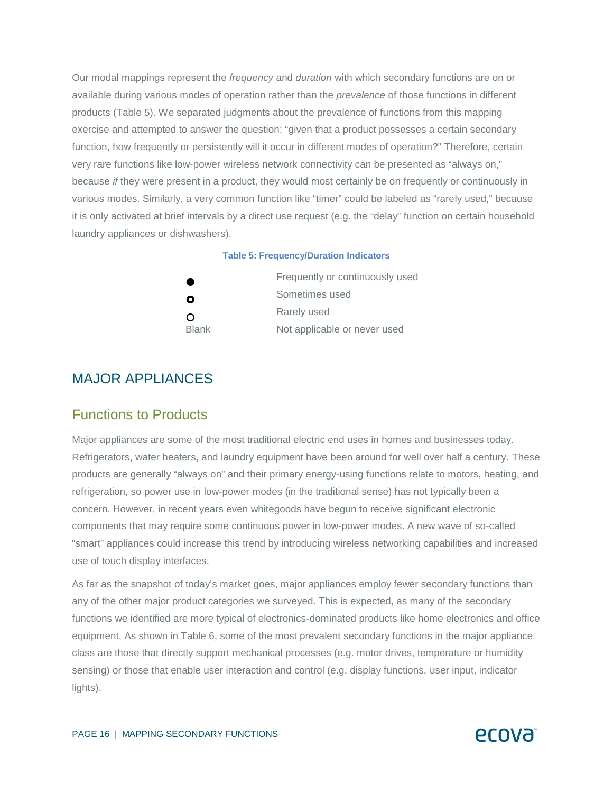Our modal mappings represent the *frequency* and *duration* with which secondary functions are on or available during various modes of operation rather than the *prevalence* of those functions in different products (Table 5). We separated judgments about the prevalence of functions from this mapping exercise and attempted to answer the question: "given that a product possesses a certain secondary function, how frequently or persistently will it occur in different modes of operation?" Therefore, certain very rare functions like low-power wireless network connectivity can be presented as "always on," because *if* they were present in a product, they would most certainly be on frequently or continuously in various modes. Similarly, a very common function like "timer" could be labeled as "rarely used," because it is only activated at brief intervals by a direct use request (e.g. the "delay" function on certain household laundry appliances or dishwashers).

#### **Table 5: Frequency/Duration Indicators**

| œ            | Frequently or continuously used |
|--------------|---------------------------------|
| O            | Sometimes used                  |
| $\Omega$     | Rarely used                     |
| <b>Blank</b> | Not applicable or never used    |

#### MAJOR APPLIANCES

#### Functions to Products

Major appliances are some of the most traditional electric end uses in homes and businesses today. Refrigerators, water heaters, and laundry equipment have been around for well over half a century. These products are generally "always on" and their primary energy-using functions relate to motors, heating, and refrigeration, so power use in low-power modes (in the traditional sense) has not typically been a concern. However, in recent years even whitegoods have begun to receive significant electronic components that may require some continuous power in low-power modes. A new wave of so-called "smart" appliances could increase this trend by introducing wireless networking capabilities and increased use of touch display interfaces.

As far as the snapshot of today's market goes, major appliances employ fewer secondary functions than any of the other major product categories we surveyed. This is expected, as many of the secondary functions we identified are more typical of electronics-dominated products like home electronics and office equipment. As shown in Table 6, some of the most prevalent secondary functions in the major appliance class are those that directly support mechanical processes (e.g. motor drives, temperature or humidity sensing) or those that enable user interaction and control (e.g. display functions, user input, indicator lights).

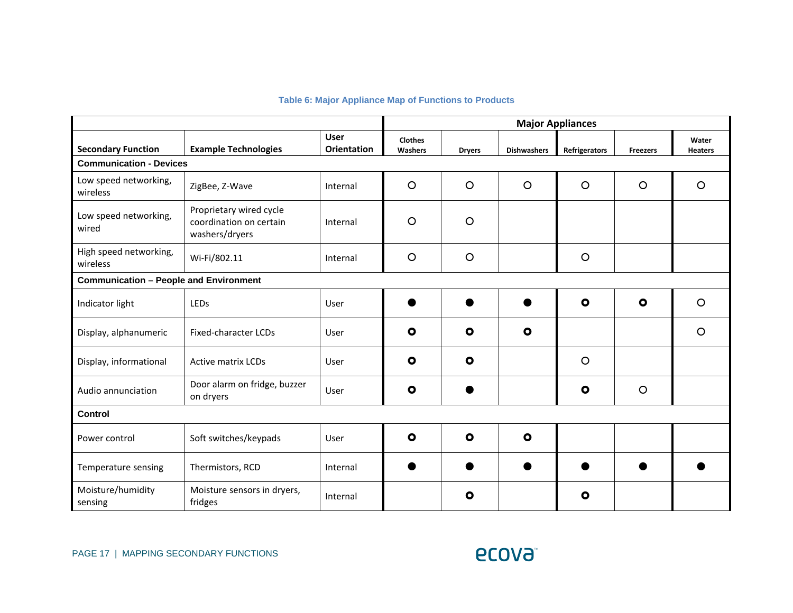#### **Table 6: Major Appliance Map of Functions to Products**

|                                               |                                                                      |                                   | <b>Major Appliances</b>   |               |                    |               |                 |                         |
|-----------------------------------------------|----------------------------------------------------------------------|-----------------------------------|---------------------------|---------------|--------------------|---------------|-----------------|-------------------------|
| <b>Secondary Function</b>                     | <b>Example Technologies</b>                                          | <b>User</b><br><b>Orientation</b> | <b>Clothes</b><br>Washers | <b>Dryers</b> | <b>Dishwashers</b> | Refrigerators | <b>Freezers</b> | Water<br><b>Heaters</b> |
| <b>Communication - Devices</b>                |                                                                      |                                   |                           |               |                    |               |                 |                         |
| Low speed networking,<br>wireless             | ZigBee, Z-Wave                                                       | Internal                          | $\circ$                   | $\circ$       | $\circ$            | $\circ$       | $\circ$         | $\circ$                 |
| Low speed networking,<br>wired                | Proprietary wired cycle<br>coordination on certain<br>washers/dryers | Internal                          | $\circ$                   | $\circ$       |                    |               |                 |                         |
| High speed networking,<br>wireless            | Wi-Fi/802.11                                                         | Internal                          | $\circ$                   | $\circ$       |                    | $\circ$       |                 |                         |
| <b>Communication - People and Environment</b> |                                                                      |                                   |                           |               |                    |               |                 |                         |
| Indicator light                               | LEDs                                                                 | User                              |                           |               |                    | $\bullet$     | $\bullet$       | $\circ$                 |
| Display, alphanumeric                         | <b>Fixed-character LCDs</b>                                          | User                              | $\bullet$                 | $\bullet$     | $\bullet$          |               |                 | $\circ$                 |
| Display, informational                        | <b>Active matrix LCDs</b>                                            | User                              | $\bullet$                 | $\bullet$     |                    | $\circ$       |                 |                         |
| Audio annunciation                            | Door alarm on fridge, buzzer<br>on dryers                            | User                              | $\bullet$                 |               |                    | $\bullet$     | $\circ$         |                         |
| Control                                       |                                                                      |                                   |                           |               |                    |               |                 |                         |
| Power control                                 | Soft switches/keypads                                                | User                              | $\bullet$                 | $\mathbf{o}$  | $\bullet$          |               |                 |                         |
| Temperature sensing                           | Thermistors, RCD                                                     | Internal                          |                           |               |                    |               |                 |                         |
| Moisture/humidity<br>sensing                  | Moisture sensors in dryers,<br>fridges                               | Internal                          |                           | $\bullet$     |                    | $\bullet$     |                 |                         |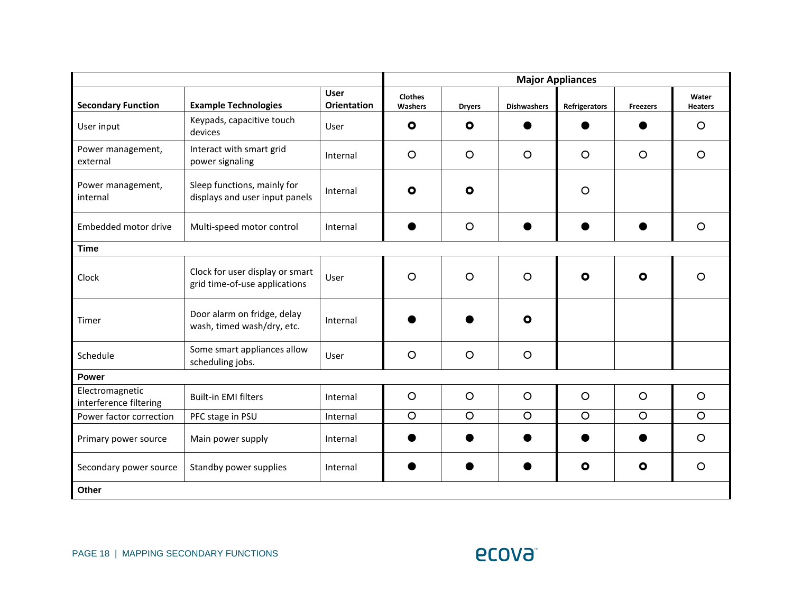|                                           |                                                                  |                                   | <b>Major Appliances</b>   |               |                    |               |                 |                         |
|-------------------------------------------|------------------------------------------------------------------|-----------------------------------|---------------------------|---------------|--------------------|---------------|-----------------|-------------------------|
| <b>Secondary Function</b>                 | <b>Example Technologies</b>                                      | <b>User</b><br><b>Orientation</b> | <b>Clothes</b><br>Washers | <b>Dryers</b> | <b>Dishwashers</b> | Refrigerators | <b>Freezers</b> | Water<br><b>Heaters</b> |
| User input                                | Keypads, capacitive touch<br>devices                             | User                              | $\bullet$                 | $\bullet$     |                    |               |                 | $\circ$                 |
| Power management,<br>external             | Interact with smart grid<br>power signaling                      | Internal                          | $\circ$                   | $\circ$       | $\circ$            | $\circ$       | $\circ$         | $\circ$                 |
| Power management,<br>internal             | Sleep functions, mainly for<br>displays and user input panels    | Internal                          | $\bullet$                 | $\bullet$     |                    | $\circ$       |                 |                         |
| Embedded motor drive                      | Multi-speed motor control                                        | Internal                          |                           | $\circ$       |                    |               |                 | $\circ$                 |
| <b>Time</b>                               |                                                                  |                                   |                           |               |                    |               |                 |                         |
| Clock                                     | Clock for user display or smart<br>grid time-of-use applications | User                              | $\circ$                   | $\circ$       | $\circ$            | $\bullet$     | $\bullet$       | $\circ$                 |
| Timer                                     | Door alarm on fridge, delay<br>wash, timed wash/dry, etc.        | Internal                          |                           |               | $\bullet$          |               |                 |                         |
| Schedule                                  | Some smart appliances allow<br>scheduling jobs.                  | User                              | $\circ$                   | $\circ$       | $\circ$            |               |                 |                         |
| Power                                     |                                                                  |                                   |                           |               |                    |               |                 |                         |
| Electromagnetic<br>interference filtering | <b>Built-in EMI filters</b>                                      | Internal                          | $\circ$                   | $\circ$       | $\circ$            | $\circ$       | $\circ$         | $\circ$                 |
| Power factor correction                   | PFC stage in PSU                                                 | Internal                          | $\circ$                   | $\circ$       | $\circ$            | $\circ$       | $\circ$         | $\circ$                 |
| Primary power source                      | Main power supply                                                | Internal                          |                           |               |                    |               |                 | $\circ$                 |
| Secondary power source                    | Standby power supplies                                           | Internal                          |                           |               |                    | $\bullet$     | $\bullet$       | $\circ$                 |
| Other                                     |                                                                  |                                   |                           |               |                    |               |                 |                         |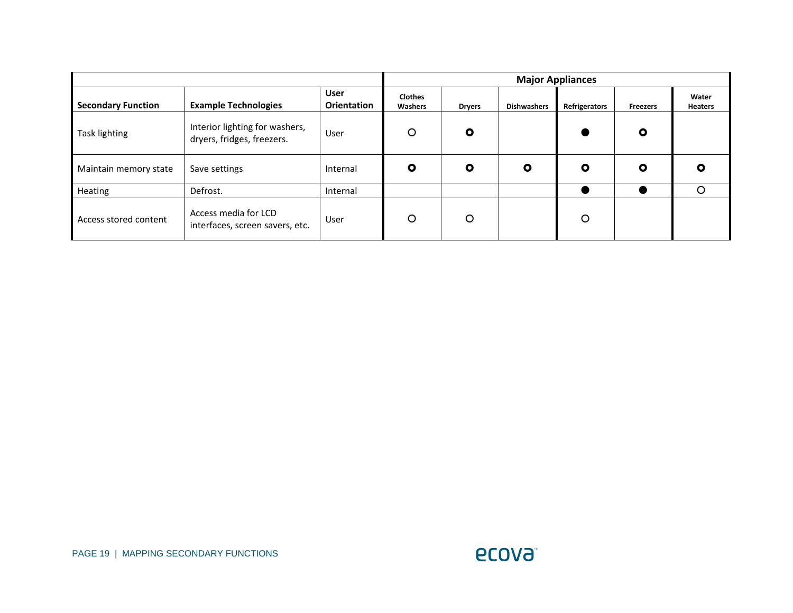|                           |                                                              |                            |                           |               | <b>Major Appliances</b> |               |                 |                         |
|---------------------------|--------------------------------------------------------------|----------------------------|---------------------------|---------------|-------------------------|---------------|-----------------|-------------------------|
| <b>Secondary Function</b> | <b>Example Technologies</b>                                  | <b>User</b><br>Orientation | <b>Clothes</b><br>Washers | <b>Dryers</b> | <b>Dishwashers</b>      | Refrigerators | <b>Freezers</b> | Water<br><b>Heaters</b> |
| Task lighting             | Interior lighting for washers,<br>dryers, fridges, freezers. | User                       | O                         | O             |                         |               | $\bullet$       |                         |
| Maintain memory state     | Save settings                                                | Internal                   | O                         | O             | $\bullet$               | O             | $\mathbf{o}$    | O                       |
| Heating                   | Defrost.                                                     | Internal                   |                           |               |                         |               |                 | ∩                       |
| Access stored content     | Access media for LCD<br>interfaces, screen savers, etc.      | User                       | O                         | O             |                         | O             |                 |                         |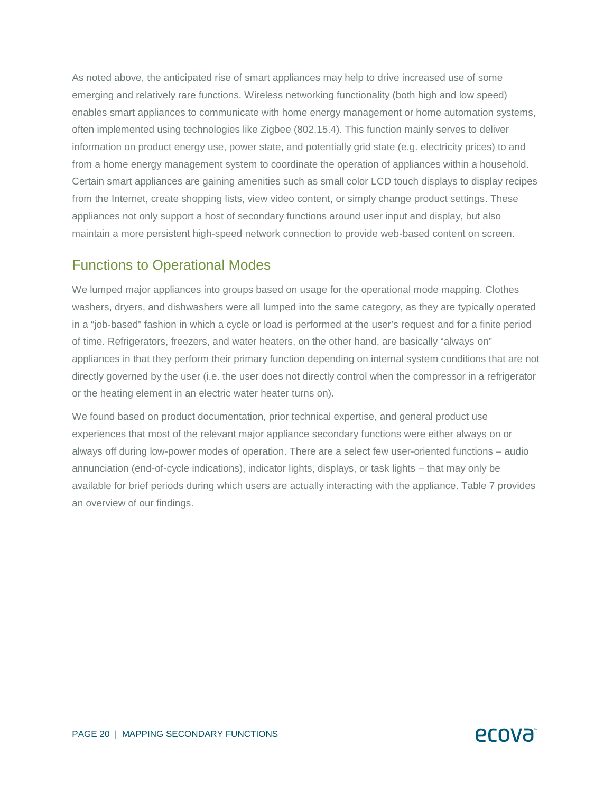As noted above, the anticipated rise of smart appliances may help to drive increased use of some emerging and relatively rare functions. Wireless networking functionality (both high and low speed) enables smart appliances to communicate with home energy management or home automation systems, often implemented using technologies like Zigbee (802.15.4). This function mainly serves to deliver information on product energy use, power state, and potentially grid state (e.g. electricity prices) to and from a home energy management system to coordinate the operation of appliances within a household. Certain smart appliances are gaining amenities such as small color LCD touch displays to display recipes from the Internet, create shopping lists, view video content, or simply change product settings. These appliances not only support a host of secondary functions around user input and display, but also maintain a more persistent high-speed network connection to provide web-based content on screen.

### Functions to Operational Modes

We lumped major appliances into groups based on usage for the operational mode mapping. Clothes washers, dryers, and dishwashers were all lumped into the same category, as they are typically operated in a "job-based" fashion in which a cycle or load is performed at the user's request and for a finite period of time. Refrigerators, freezers, and water heaters, on the other hand, are basically "always on" appliances in that they perform their primary function depending on internal system conditions that are not directly governed by the user (i.e. the user does not directly control when the compressor in a refrigerator or the heating element in an electric water heater turns on).

We found based on product documentation, prior technical expertise, and general product use experiences that most of the relevant major appliance secondary functions were either always on or always off during low-power modes of operation. There are a select few user-oriented functions – audio annunciation (end-of-cycle indications), indicator lights, displays, or task lights – that may only be available for brief periods during which users are actually interacting with the appliance. Table 7 provides an overview of our findings.

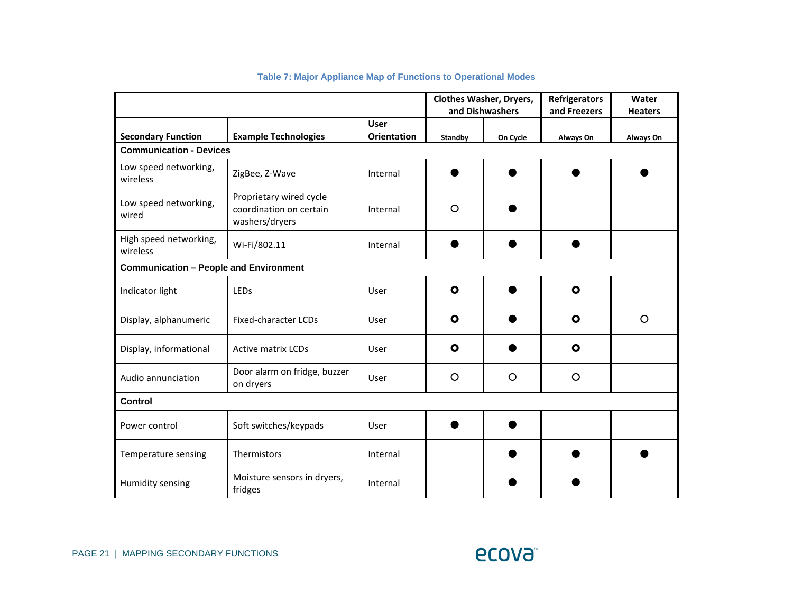|                                               |                                                                      |                    |                | <b>Clothes Washer, Dryers,</b><br>and Dishwashers | <b>Refrigerators</b><br>and Freezers | Water<br><b>Heaters</b> |
|-----------------------------------------------|----------------------------------------------------------------------|--------------------|----------------|---------------------------------------------------|--------------------------------------|-------------------------|
|                                               |                                                                      | <b>User</b>        |                |                                                   |                                      |                         |
| <b>Secondary Function</b>                     | <b>Example Technologies</b>                                          | <b>Orientation</b> | <b>Standby</b> | On Cycle                                          | Always On                            | Always On               |
| <b>Communication - Devices</b>                |                                                                      |                    |                |                                                   |                                      |                         |
| Low speed networking,<br>wireless             | ZigBee, Z-Wave                                                       | Internal           |                |                                                   |                                      |                         |
| Low speed networking,<br>wired                | Proprietary wired cycle<br>coordination on certain<br>washers/dryers | Internal           | O              |                                                   |                                      |                         |
| High speed networking,<br>wireless            | Wi-Fi/802.11                                                         | Internal           |                |                                                   |                                      |                         |
| <b>Communication - People and Environment</b> |                                                                      |                    |                |                                                   |                                      |                         |
| Indicator light                               | LEDs                                                                 | User               | $\mathbf{o}$   |                                                   | $\bullet$                            |                         |
| Display, alphanumeric                         | <b>Fixed-character LCDs</b>                                          | User               | O              |                                                   | $\bullet$                            | $\circ$                 |
| Display, informational                        | <b>Active matrix LCDs</b>                                            | User               | O              |                                                   | $\bullet$                            |                         |
| Audio annunciation                            | Door alarm on fridge, buzzer<br>on dryers                            | User               | O              | $\circ$                                           | O                                    |                         |
| Control                                       |                                                                      |                    |                |                                                   |                                      |                         |
| Power control                                 | Soft switches/keypads                                                | User               |                |                                                   |                                      |                         |
| Temperature sensing                           | Thermistors                                                          | Internal           |                |                                                   |                                      |                         |
| Humidity sensing                              | Moisture sensors in dryers,<br>fridges                               | Internal           |                |                                                   |                                      |                         |

#### **Table 7: Major Appliance Map of Functions to Operational Modes**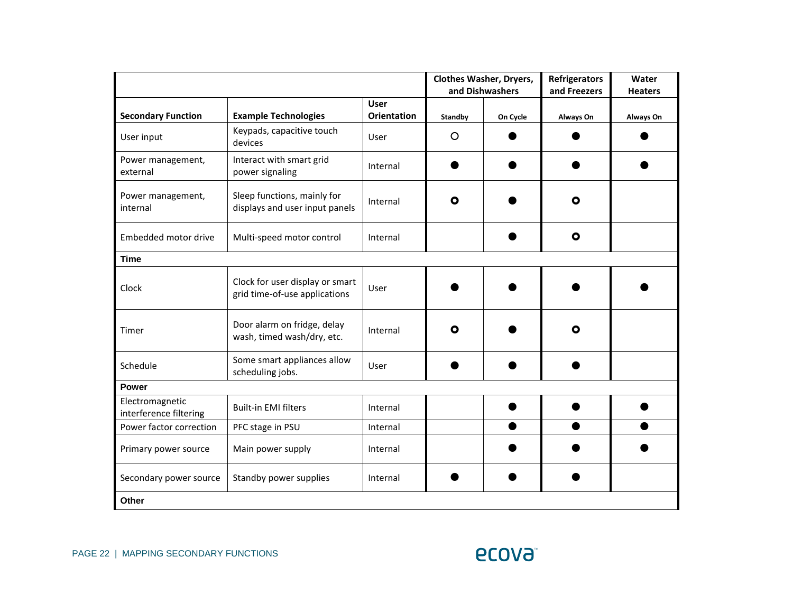|                                           |                                                                  |                    |         | <b>Clothes Washer, Dryers,</b><br>and Dishwashers | <b>Refrigerators</b><br>and Freezers | Water<br><b>Heaters</b> |
|-------------------------------------------|------------------------------------------------------------------|--------------------|---------|---------------------------------------------------|--------------------------------------|-------------------------|
|                                           |                                                                  | <b>User</b>        |         |                                                   |                                      |                         |
| <b>Secondary Function</b>                 | <b>Example Technologies</b>                                      | <b>Orientation</b> | Standby | On Cycle                                          | Always On                            | Always On               |
| User input                                | Keypads, capacitive touch<br>devices                             | User               | O       |                                                   |                                      |                         |
| Power management,<br>external             | Interact with smart grid<br>power signaling                      | Internal           |         |                                                   |                                      |                         |
| Power management,<br>internal             | Sleep functions, mainly for<br>displays and user input panels    | Internal           | O       |                                                   | О                                    |                         |
| Embedded motor drive                      | Multi-speed motor control                                        | Internal           |         |                                                   | $\bullet$                            |                         |
| <b>Time</b>                               |                                                                  |                    |         |                                                   |                                      |                         |
| Clock                                     | Clock for user display or smart<br>grid time-of-use applications | User               |         |                                                   |                                      |                         |
| Timer                                     | Door alarm on fridge, delay<br>wash, timed wash/dry, etc.        | Internal           | О       |                                                   | О                                    |                         |
| Schedule                                  | Some smart appliances allow<br>scheduling jobs.                  | User               |         |                                                   |                                      |                         |
| <b>Power</b>                              |                                                                  |                    |         |                                                   |                                      |                         |
| Electromagnetic<br>interference filtering | <b>Built-in EMI filters</b>                                      | Internal           |         |                                                   |                                      |                         |
| Power factor correction                   | PFC stage in PSU                                                 | Internal           |         |                                                   |                                      |                         |
| Primary power source                      | Main power supply                                                | Internal           |         |                                                   |                                      |                         |
| Secondary power source                    | Standby power supplies                                           | Internal           |         |                                                   |                                      |                         |
| Other                                     |                                                                  |                    |         |                                                   |                                      |                         |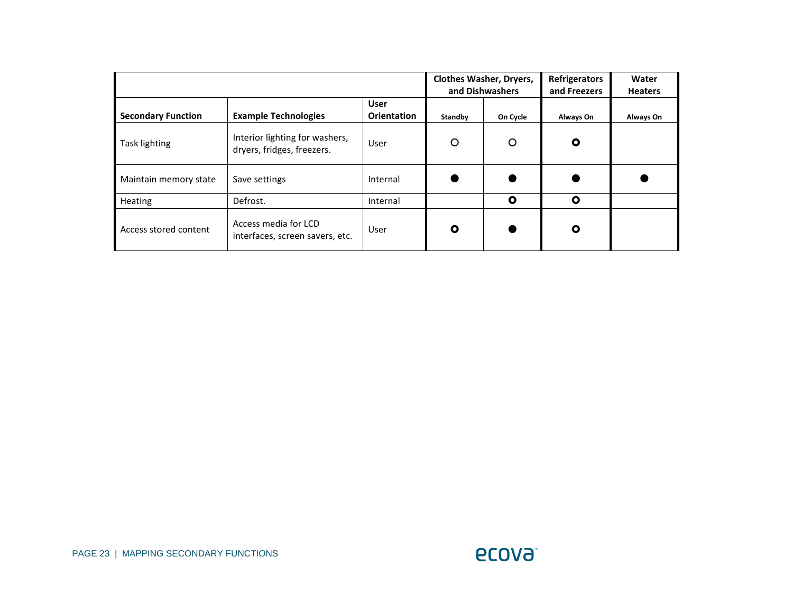|                           |                                                              |                            |         | <b>Clothes Washer, Dryers,</b><br>and Dishwashers | <b>Refrigerators</b><br>and Freezers | Water<br><b>Heaters</b> |
|---------------------------|--------------------------------------------------------------|----------------------------|---------|---------------------------------------------------|--------------------------------------|-------------------------|
| <b>Secondary Function</b> | <b>Example Technologies</b>                                  | <b>User</b><br>Orientation | Standby | On Cycle                                          | Always On                            | Always On               |
| Task lighting             | Interior lighting for washers,<br>dryers, fridges, freezers. | User                       | O       | O                                                 | $\mathbf{o}$                         |                         |
| Maintain memory state     | Save settings                                                | Internal                   |         |                                                   |                                      |                         |
| Heating                   | Defrost.                                                     | Internal                   |         | $\mathbf{o}$                                      | O                                    |                         |
| Access stored content     | Access media for LCD<br>interfaces, screen savers, etc.      | User                       | O       |                                                   | O                                    |                         |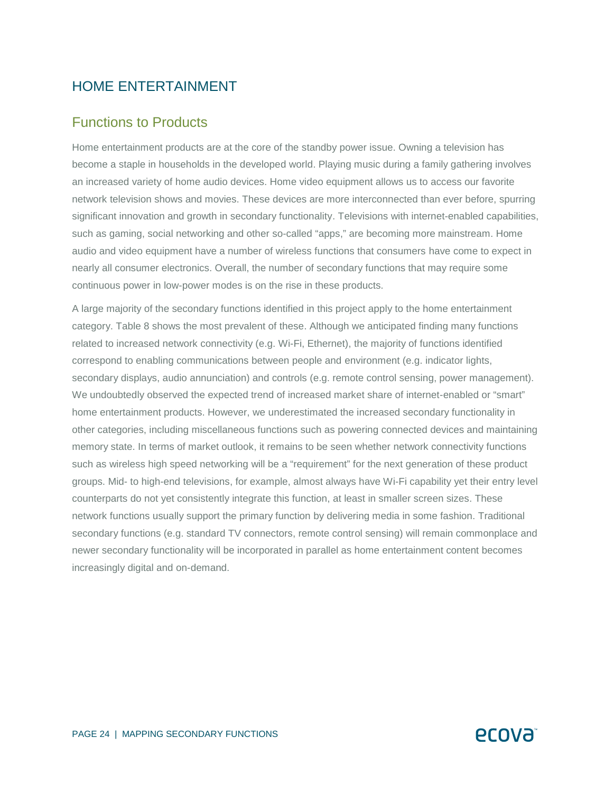### HOME ENTERTAINMENT

#### Functions to Products

Home entertainment products are at the core of the standby power issue. Owning a television has become a staple in households in the developed world. Playing music during a family gathering involves an increased variety of home audio devices. Home video equipment allows us to access our favorite network television shows and movies. These devices are more interconnected than ever before, spurring significant innovation and growth in secondary functionality. Televisions with internet-enabled capabilities, such as gaming, social networking and other so-called "apps," are becoming more mainstream. Home audio and video equipment have a number of wireless functions that consumers have come to expect in nearly all consumer electronics. Overall, the number of secondary functions that may require some continuous power in low-power modes is on the rise in these products.

A large majority of the secondary functions identified in this project apply to the home entertainment category. Table 8 shows the most prevalent of these. Although we anticipated finding many functions related to increased network connectivity (e.g. Wi-Fi, Ethernet), the majority of functions identified correspond to enabling communications between people and environment (e.g. indicator lights, secondary displays, audio annunciation) and controls (e.g. remote control sensing, power management). We undoubtedly observed the expected trend of increased market share of internet-enabled or "smart" home entertainment products. However, we underestimated the increased secondary functionality in other categories, including miscellaneous functions such as powering connected devices and maintaining memory state. In terms of market outlook, it remains to be seen whether network connectivity functions such as wireless high speed networking will be a "requirement" for the next generation of these product groups. Mid- to high-end televisions, for example, almost always have Wi-Fi capability yet their entry level counterparts do not yet consistently integrate this function, at least in smaller screen sizes. These network functions usually support the primary function by delivering media in some fashion. Traditional secondary functions (e.g. standard TV connectors, remote control sensing) will remain commonplace and newer secondary functionality will be incorporated in parallel as home entertainment content becomes increasingly digital and on-demand.

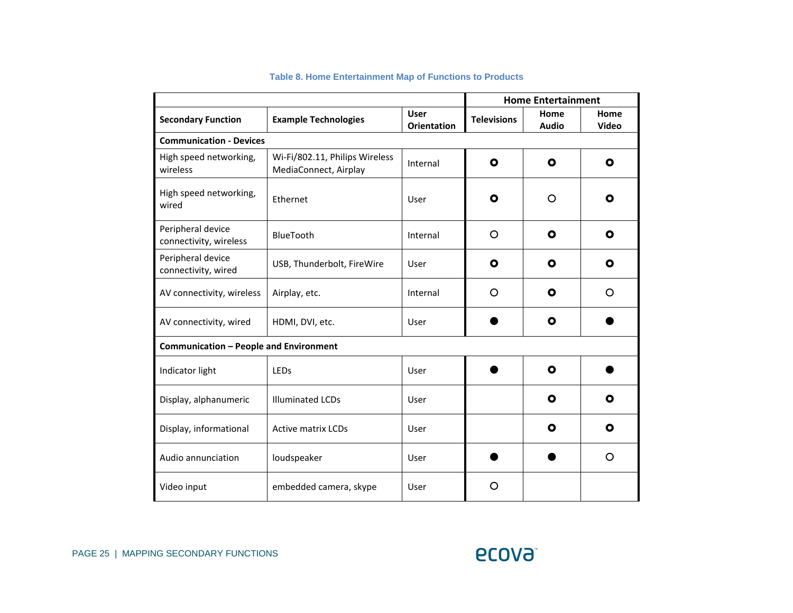|                                             |                                                         | <b>Home Entertainment</b>         |                    |                      |                      |
|---------------------------------------------|---------------------------------------------------------|-----------------------------------|--------------------|----------------------|----------------------|
| <b>Secondary Function</b>                   | <b>Example Technologies</b>                             | <b>User</b><br><b>Orientation</b> | <b>Televisions</b> | Home<br><b>Audio</b> | Home<br><b>Video</b> |
| <b>Communication - Devices</b>              |                                                         |                                   |                    |                      |                      |
| High speed networking,<br>wireless          | Wi-Fi/802.11, Philips Wireless<br>MediaConnect, Airplay | Internal                          | $\mathbf o$        | $\mathbf{o}$         | $\mathbf{o}$         |
| High speed networking,<br>wired             | Ethernet                                                | User                              | O                  | O                    | О                    |
| Peripheral device<br>connectivity, wireless | BlueTooth                                               | Internal                          | O                  | O                    | O                    |
| Peripheral device<br>connectivity, wired    | USB, Thunderbolt, FireWire                              | User                              | O                  | O                    | О                    |
| AV connectivity, wireless                   | Airplay, etc.                                           | Internal                          | O                  | O                    | O                    |
| AV connectivity, wired                      | HDMI, DVI, etc.                                         | User                              |                    | O                    |                      |
| Communication - People and Environment      |                                                         |                                   |                    |                      |                      |
| Indicator light                             | LEDs                                                    | User                              |                    | $\bullet$            |                      |
| Display, alphanumeric                       | <b>Illuminated LCDs</b>                                 | User                              |                    | O                    | О                    |
| Display, informational                      | <b>Active matrix LCDs</b>                               | User                              |                    | O                    | О                    |
| Audio annunciation                          | loudspeaker                                             | User                              |                    |                      | O                    |
| Video input                                 | embedded camera, skype                                  | User                              | O                  |                      |                      |

#### **Table 8. Home Entertainment Map of Functions to Products**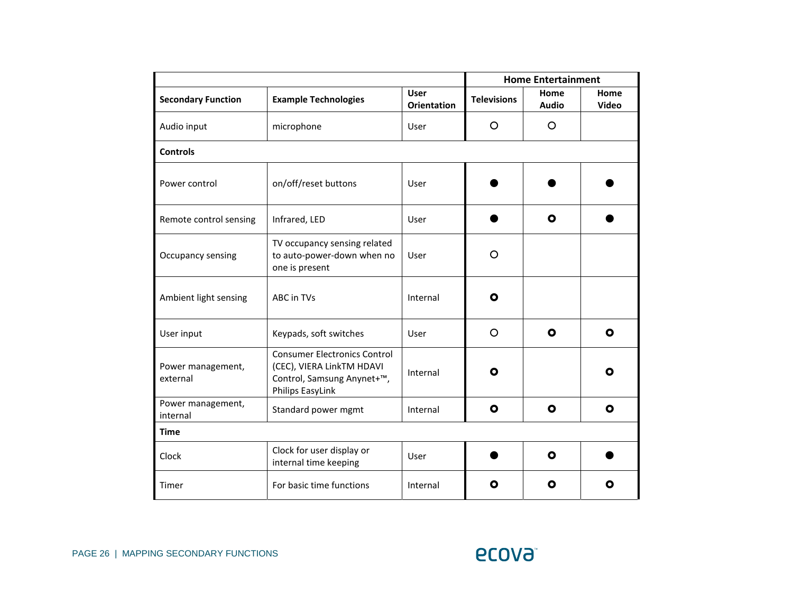|                               |                                                                                                                    |                                   | <b>Home Entertainment</b> |                      |               |  |
|-------------------------------|--------------------------------------------------------------------------------------------------------------------|-----------------------------------|---------------------------|----------------------|---------------|--|
| <b>Secondary Function</b>     | <b>Example Technologies</b>                                                                                        | <b>User</b><br><b>Orientation</b> | <b>Televisions</b>        | Home<br><b>Audio</b> | Home<br>Video |  |
| Audio input                   | microphone                                                                                                         | User                              | $\circ$                   | $\circ$              |               |  |
| <b>Controls</b>               |                                                                                                                    |                                   |                           |                      |               |  |
| Power control                 | on/off/reset buttons                                                                                               | User                              |                           |                      |               |  |
| Remote control sensing        | Infrared, LED                                                                                                      | User                              |                           | $\mathbf{o}$         |               |  |
| Occupancy sensing             | TV occupancy sensing related<br>to auto-power-down when no<br>one is present                                       | User                              | $\circ$                   |                      |               |  |
| Ambient light sensing         | ABC in TVs                                                                                                         | Internal                          | O                         |                      |               |  |
| User input                    | Keypads, soft switches                                                                                             | User                              | $\circ$                   | $\bullet$            | $\bullet$     |  |
| Power management,<br>external | <b>Consumer Electronics Control</b><br>(CEC), VIERA LinkTM HDAVI<br>Control, Samsung Anynet+™,<br>Philips EasyLink | Internal                          | O                         |                      | О             |  |
| Power management,<br>internal | Standard power mgmt                                                                                                | Internal                          | $\mathbf{o}$              | $\bullet$            | O             |  |
| <b>Time</b>                   |                                                                                                                    |                                   |                           |                      |               |  |
| Clock                         | Clock for user display or<br>internal time keeping                                                                 | User                              |                           | $\mathbf{o}$         |               |  |
| Timer                         | For basic time functions                                                                                           | Internal                          | О                         | $\mathbf{o}$         | О             |  |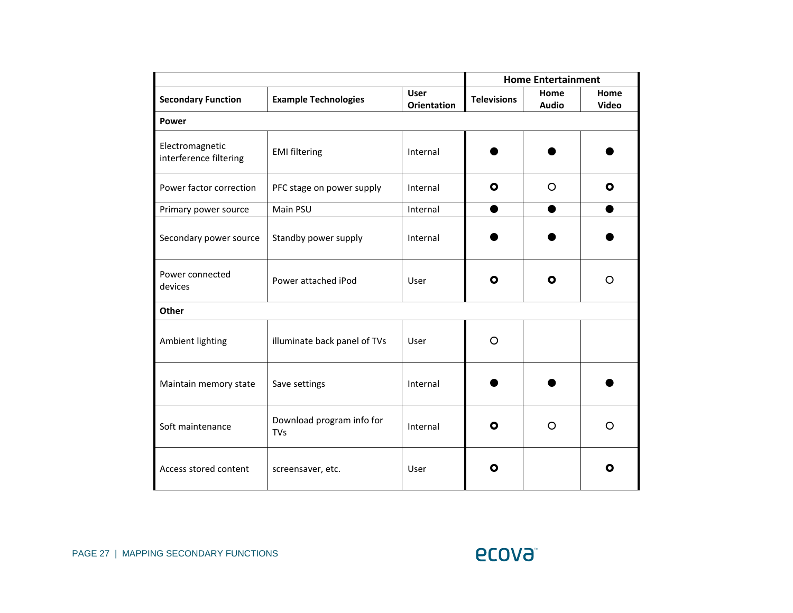|                                           |                                         |                                   |                    | <b>Home Entertainment</b> |               |
|-------------------------------------------|-----------------------------------------|-----------------------------------|--------------------|---------------------------|---------------|
| <b>Secondary Function</b>                 | <b>Example Technologies</b>             | <b>User</b><br><b>Orientation</b> | <b>Televisions</b> | Home<br><b>Audio</b>      | Home<br>Video |
| <b>Power</b>                              |                                         |                                   |                    |                           |               |
| Electromagnetic<br>interference filtering | <b>EMI filtering</b>                    | Internal                          |                    |                           |               |
| Power factor correction                   | PFC stage on power supply               | Internal                          | O                  | $\circ$                   | O             |
| Primary power source                      | Main PSU                                | Internal                          |                    |                           |               |
| Secondary power source                    | Standby power supply                    | Internal                          |                    |                           |               |
| Power connected<br>devices                | Power attached iPod                     | User                              | O                  | О                         | O             |
| Other                                     |                                         |                                   |                    |                           |               |
| Ambient lighting                          | illuminate back panel of TVs            | User                              | O                  |                           |               |
| Maintain memory state                     | Save settings                           | Internal                          |                    |                           |               |
| Soft maintenance                          | Download program info for<br><b>TVs</b> | Internal                          | O                  | $\Omega$                  | O             |
| Access stored content                     | screensaver, etc.                       | User                              | O                  |                           | О             |

**ECOVƏ**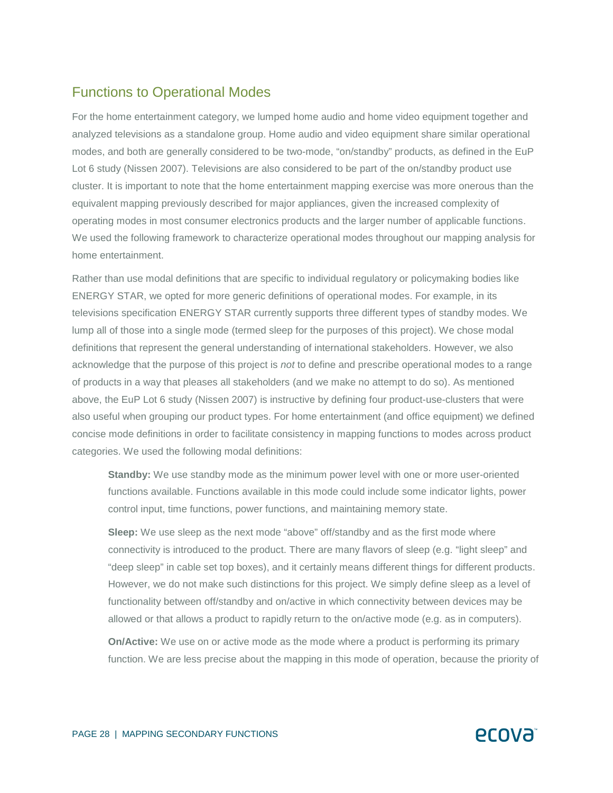## Functions to Operational Modes

For the home entertainment category, we lumped home audio and home video equipment together and analyzed televisions as a standalone group. Home audio and video equipment share similar operational modes, and both are generally considered to be two-mode, "on/standby" products, as defined in the EuP Lot 6 study (Nissen 2007). Televisions are also considered to be part of the on/standby product use cluster. It is important to note that the home entertainment mapping exercise was more onerous than the equivalent mapping previously described for major appliances, given the increased complexity of operating modes in most consumer electronics products and the larger number of applicable functions. We used the following framework to characterize operational modes throughout our mapping analysis for home entertainment.

Rather than use modal definitions that are specific to individual regulatory or policymaking bodies like ENERGY STAR, we opted for more generic definitions of operational modes. For example, in its televisions specification ENERGY STAR currently supports three different types of standby modes. We lump all of those into a single mode (termed sleep for the purposes of this project). We chose modal definitions that represent the general understanding of international stakeholders. However, we also acknowledge that the purpose of this project is *not* to define and prescribe operational modes to a range of products in a way that pleases all stakeholders (and we make no attempt to do so). As mentioned above, the EuP Lot 6 study (Nissen 2007) is instructive by defining four product-use-clusters that were also useful when grouping our product types. For home entertainment (and office equipment) we defined concise mode definitions in order to facilitate consistency in mapping functions to modes across product categories. We used the following modal definitions:

**Standby:** We use standby mode as the minimum power level with one or more user-oriented functions available. Functions available in this mode could include some indicator lights, power control input, time functions, power functions, and maintaining memory state.

**Sleep:** We use sleep as the next mode "above" off/standby and as the first mode where connectivity is introduced to the product. There are many flavors of sleep (e.g. "light sleep" and "deep sleep" in cable set top boxes), and it certainly means different things for different products. However, we do not make such distinctions for this project. We simply define sleep as a level of functionality between off/standby and on/active in which connectivity between devices may be allowed or that allows a product to rapidly return to the on/active mode (e.g. as in computers).

**On/Active:** We use on or active mode as the mode where a product is performing its primary function. We are less precise about the mapping in this mode of operation, because the priority of

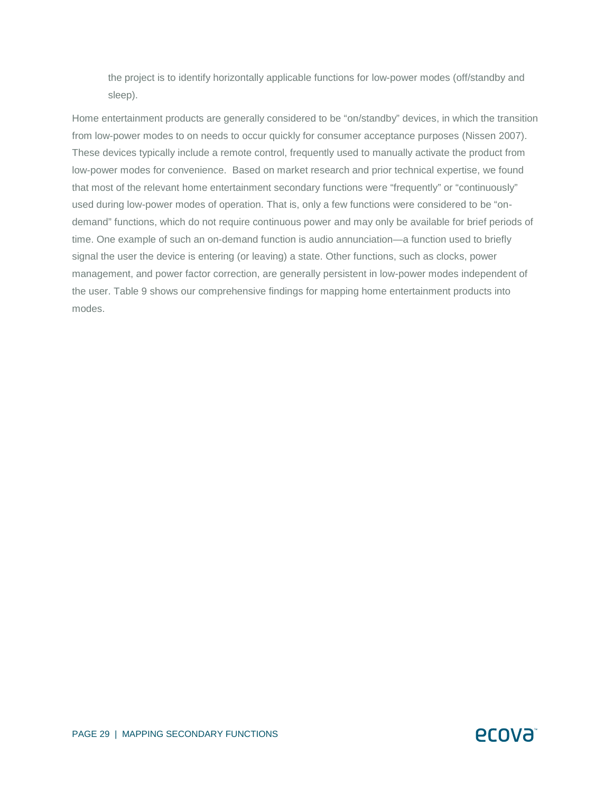the project is to identify horizontally applicable functions for low-power modes (off/standby and sleep).

Home entertainment products are generally considered to be "on/standby" devices, in which the transition from low-power modes to on needs to occur quickly for consumer acceptance purposes (Nissen 2007). These devices typically include a remote control, frequently used to manually activate the product from low-power modes for convenience. Based on market research and prior technical expertise, we found that most of the relevant home entertainment secondary functions were "frequently" or "continuously" used during low-power modes of operation. That is, only a few functions were considered to be "ondemand" functions, which do not require continuous power and may only be available for brief periods of time. One example of such an on-demand function is audio annunciation—a function used to briefly signal the user the device is entering (or leaving) a state. Other functions, such as clocks, power management, and power factor correction, are generally persistent in low-power modes independent of the user. Table 9 shows our comprehensive findings for mapping home entertainment products into modes.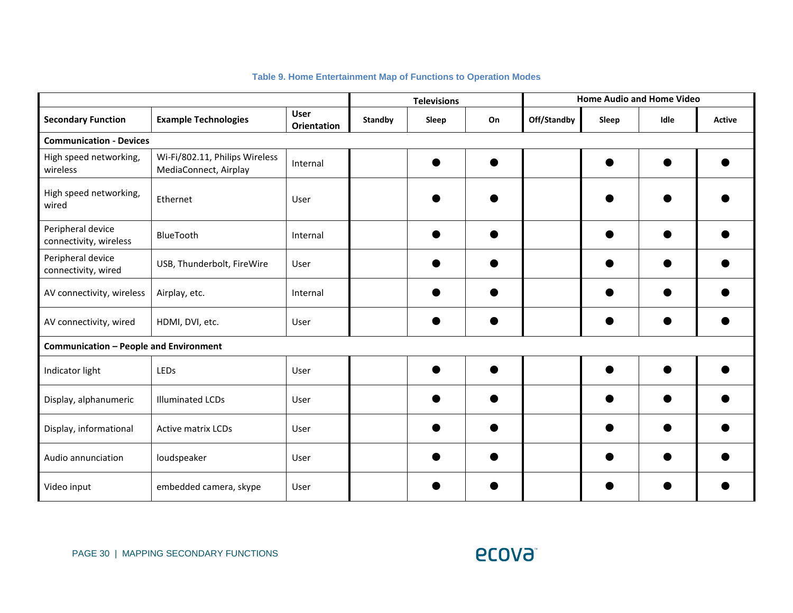#### **Table 9. Home Entertainment Map of Functions to Operation Modes**

|                                               |                                                         |                                   | <b>Televisions</b> |       |    |             |       | <b>Home Audio and Home Video</b> |        |
|-----------------------------------------------|---------------------------------------------------------|-----------------------------------|--------------------|-------|----|-------------|-------|----------------------------------|--------|
| <b>Secondary Function</b>                     | <b>Example Technologies</b>                             | <b>User</b><br><b>Orientation</b> | <b>Standby</b>     | Sleep | On | Off/Standby | Sleep | Idle                             | Active |
| <b>Communication - Devices</b>                |                                                         |                                   |                    |       |    |             |       |                                  |        |
| High speed networking,<br>wireless            | Wi-Fi/802.11, Philips Wireless<br>MediaConnect, Airplay | Internal                          |                    |       |    |             |       |                                  |        |
| High speed networking,<br>wired               | Ethernet                                                | User                              |                    |       |    |             |       |                                  |        |
| Peripheral device<br>connectivity, wireless   | BlueTooth                                               | Internal                          |                    |       |    |             |       |                                  |        |
| Peripheral device<br>connectivity, wired      | USB, Thunderbolt, FireWire                              | User                              |                    |       |    |             |       |                                  |        |
| AV connectivity, wireless                     | Airplay, etc.                                           | Internal                          |                    |       |    |             |       |                                  |        |
| AV connectivity, wired                        | HDMI, DVI, etc.                                         | User                              |                    |       |    |             |       |                                  |        |
| <b>Communication - People and Environment</b> |                                                         |                                   |                    |       |    |             |       |                                  |        |
| Indicator light                               | LEDs                                                    | User                              |                    |       |    |             |       |                                  |        |
| Display, alphanumeric                         | <b>Illuminated LCDs</b>                                 | User                              |                    |       |    |             |       |                                  |        |
| Display, informational                        | <b>Active matrix LCDs</b>                               | User                              |                    |       |    |             |       |                                  |        |
| Audio annunciation                            | loudspeaker                                             | User                              |                    |       |    |             |       |                                  |        |
| Video input                                   | embedded camera, skype                                  | User                              |                    |       |    |             |       |                                  |        |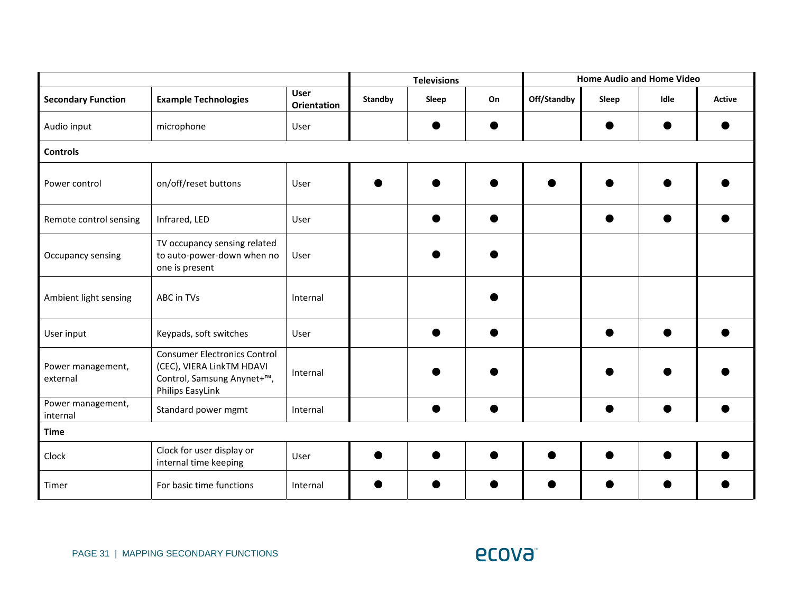|                               |                                                                                                                    |                                   |                | <b>Televisions</b> |    |             |       | <b>Home Audio and Home Video</b> |        |
|-------------------------------|--------------------------------------------------------------------------------------------------------------------|-----------------------------------|----------------|--------------------|----|-------------|-------|----------------------------------|--------|
| <b>Secondary Function</b>     | <b>Example Technologies</b>                                                                                        | <b>User</b><br><b>Orientation</b> | <b>Standby</b> | Sleep              | On | Off/Standby | Sleep | Idle                             | Active |
| Audio input                   | microphone                                                                                                         | User                              |                |                    |    |             |       |                                  |        |
| <b>Controls</b>               |                                                                                                                    |                                   |                |                    |    |             |       |                                  |        |
| Power control                 | on/off/reset buttons                                                                                               | User                              |                |                    |    |             |       |                                  |        |
| Remote control sensing        | Infrared, LED                                                                                                      | User                              |                |                    |    |             |       |                                  |        |
| Occupancy sensing             | TV occupancy sensing related<br>to auto-power-down when no<br>one is present                                       | User                              |                |                    |    |             |       |                                  |        |
| Ambient light sensing         | ABC in TVs                                                                                                         | Internal                          |                |                    |    |             |       |                                  |        |
| User input                    | Keypads, soft switches                                                                                             | User                              |                |                    |    |             |       |                                  |        |
| Power management,<br>external | <b>Consumer Electronics Control</b><br>(CEC), VIERA LinkTM HDAVI<br>Control, Samsung Anynet+™,<br>Philips EasyLink | Internal                          |                |                    |    |             |       |                                  |        |
| Power management,<br>internal | Standard power mgmt                                                                                                | Internal                          |                |                    |    |             |       |                                  |        |
| <b>Time</b>                   |                                                                                                                    |                                   |                |                    |    |             |       |                                  |        |
| Clock                         | Clock for user display or<br>internal time keeping                                                                 | User                              |                |                    |    |             |       |                                  |        |
| Timer                         | For basic time functions                                                                                           | Internal                          |                |                    |    |             |       |                                  |        |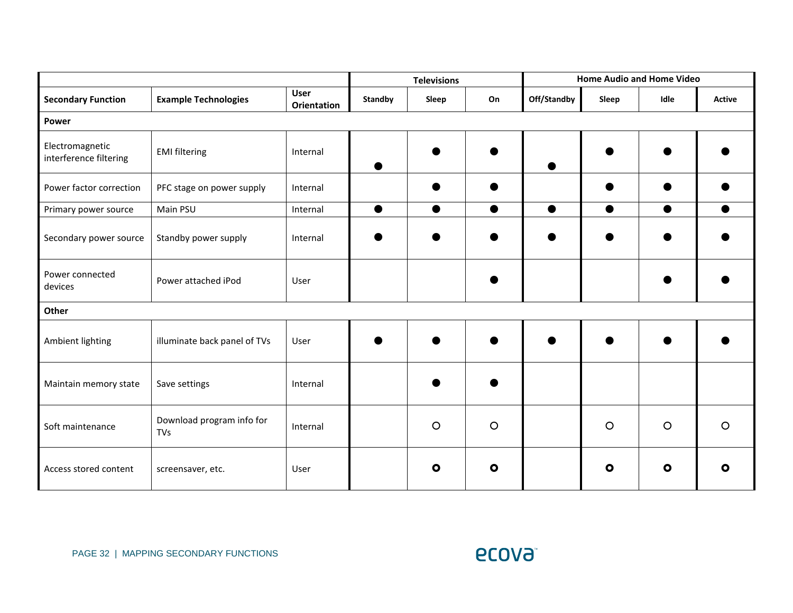|                                           |                                         |                                   | <b>Televisions</b> |           |           | <b>Home Audio and Home Video</b> |           |           |               |
|-------------------------------------------|-----------------------------------------|-----------------------------------|--------------------|-----------|-----------|----------------------------------|-----------|-----------|---------------|
| <b>Secondary Function</b>                 | <b>Example Technologies</b>             | <b>User</b><br><b>Orientation</b> | <b>Standby</b>     | Sleep     | On        | Off/Standby                      | Sleep     | Idle      | <b>Active</b> |
| <b>Power</b>                              |                                         |                                   |                    |           |           |                                  |           |           |               |
| Electromagnetic<br>interference filtering | <b>EMI filtering</b>                    | Internal                          |                    |           |           |                                  |           |           |               |
| Power factor correction                   | PFC stage on power supply               | Internal                          |                    |           |           |                                  |           |           |               |
| Primary power source                      | Main PSU                                | Internal                          | $\bullet$          | $\bullet$ | $\bullet$ | $\bullet$                        | $\bullet$ | $\bullet$ | $\bullet$     |
| Secondary power source                    | Standby power supply                    | Internal                          |                    |           |           |                                  |           |           |               |
| Power connected<br>devices                | Power attached iPod                     | User                              |                    |           |           |                                  |           |           |               |
| Other                                     |                                         |                                   |                    |           |           |                                  |           |           |               |
| Ambient lighting                          | illuminate back panel of TVs            | User                              |                    |           |           |                                  |           |           |               |
| Maintain memory state                     | Save settings                           | Internal                          |                    |           |           |                                  |           |           |               |
| Soft maintenance                          | Download program info for<br><b>TVs</b> | Internal                          |                    | $\circ$   | $\circ$   |                                  | $\circ$   | $\circ$   | $\circ$       |
| Access stored content                     | screensaver, etc.                       | User                              |                    | $\bullet$ | $\bullet$ |                                  | $\bullet$ | $\bullet$ | $\bullet$     |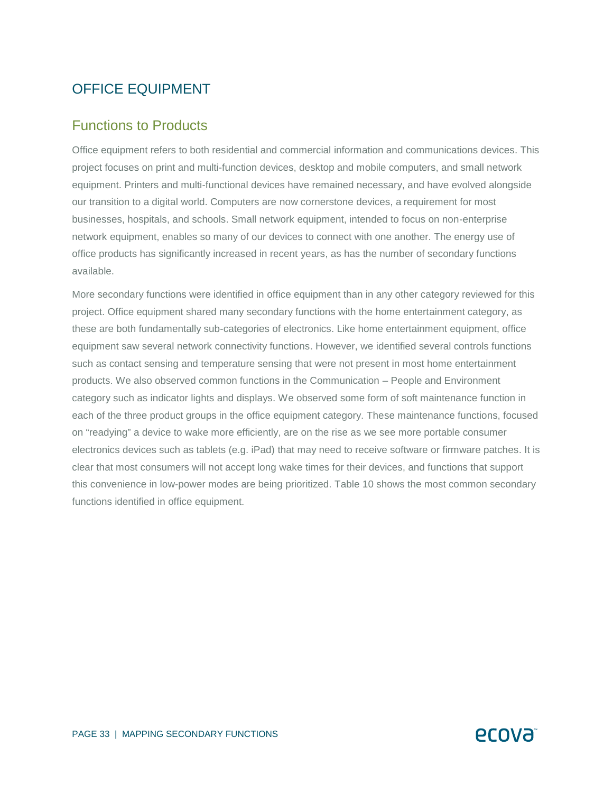## OFFICE EQUIPMENT

#### Functions to Products

Office equipment refers to both residential and commercial information and communications devices. This project focuses on print and multi-function devices, desktop and mobile computers, and small network equipment. Printers and multi-functional devices have remained necessary, and have evolved alongside our transition to a digital world. Computers are now cornerstone devices, a requirement for most businesses, hospitals, and schools. Small network equipment, intended to focus on non-enterprise network equipment, enables so many of our devices to connect with one another. The energy use of office products has significantly increased in recent years, as has the number of secondary functions available.

More secondary functions were identified in office equipment than in any other category reviewed for this project. Office equipment shared many secondary functions with the home entertainment category, as these are both fundamentally sub-categories of electronics. Like home entertainment equipment, office equipment saw several network connectivity functions. However, we identified several controls functions such as contact sensing and temperature sensing that were not present in most home entertainment products. We also observed common functions in the Communication – People and Environment category such as indicator lights and displays. We observed some form of soft maintenance function in each of the three product groups in the office equipment category. These maintenance functions, focused on "readying" a device to wake more efficiently, are on the rise as we see more portable consumer electronics devices such as tablets (e.g. iPad) that may need to receive software or firmware patches. It is clear that most consumers will not accept long wake times for their devices, and functions that support this convenience in low-power modes are being prioritized. Table 10 shows the most common secondary functions identified in office equipment.

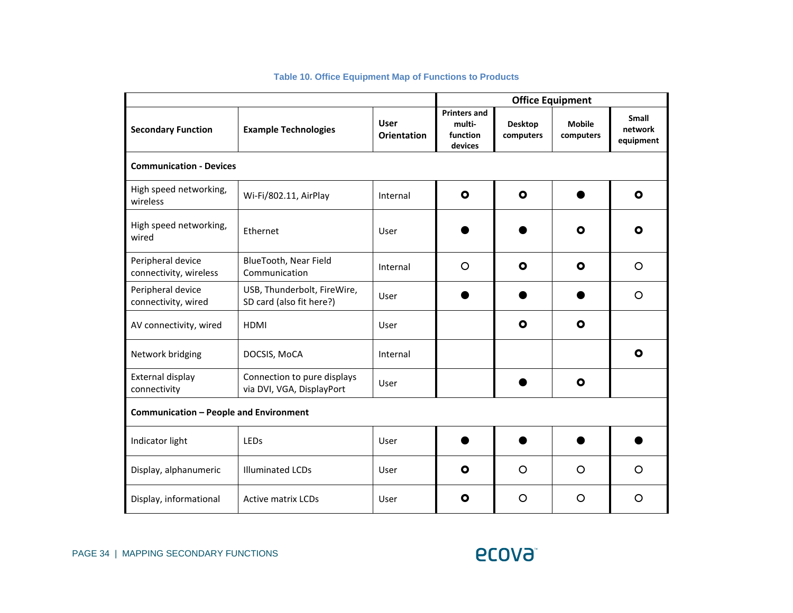|                                               |                                                          | <b>Office Equipment</b>           |                                                      |                             |                            |                               |
|-----------------------------------------------|----------------------------------------------------------|-----------------------------------|------------------------------------------------------|-----------------------------|----------------------------|-------------------------------|
| <b>Secondary Function</b>                     | <b>Example Technologies</b>                              | <b>User</b><br><b>Orientation</b> | <b>Printers and</b><br>multi-<br>function<br>devices | <b>Desktop</b><br>computers | <b>Mobile</b><br>computers | Small<br>network<br>equipment |
| <b>Communication - Devices</b>                |                                                          |                                   |                                                      |                             |                            |                               |
| High speed networking,<br>wireless            | Wi-Fi/802.11, AirPlay                                    | Internal                          | $\bullet$                                            | $\bullet$                   |                            | $\mathbf{o}$                  |
| High speed networking,<br>wired               | Ethernet                                                 | User                              |                                                      |                             | $\bullet$                  | $\mathbf{o}$                  |
| Peripheral device<br>connectivity, wireless   | BlueTooth, Near Field<br>Communication                   | Internal                          | $\circ$                                              | $\bullet$                   | $\mathbf{o}$               | O                             |
| Peripheral device<br>connectivity, wired      | USB, Thunderbolt, FireWire,<br>SD card (also fit here?)  | User                              |                                                      |                             |                            | O                             |
| AV connectivity, wired                        | <b>HDMI</b>                                              | User                              |                                                      | $\mathbf{o}$                | $\mathbf{o}$               |                               |
| Network bridging                              | DOCSIS, MoCA                                             | Internal                          |                                                      |                             |                            | O                             |
| External display<br>connectivity              | Connection to pure displays<br>via DVI, VGA, DisplayPort | User                              |                                                      |                             | $\mathbf{o}$               |                               |
| <b>Communication - People and Environment</b> |                                                          |                                   |                                                      |                             |                            |                               |
| Indicator light                               | LEDs                                                     | User                              |                                                      |                             |                            |                               |
| Display, alphanumeric                         | <b>Illuminated LCDs</b>                                  | User                              | $\bullet$                                            | $\circ$                     | $\circ$                    | $\circ$                       |
| Display, informational                        | <b>Active matrix LCDs</b>                                | User                              | O                                                    | O                           | O                          | O                             |

#### **Table 10. Office Equipment Map of Functions to Products**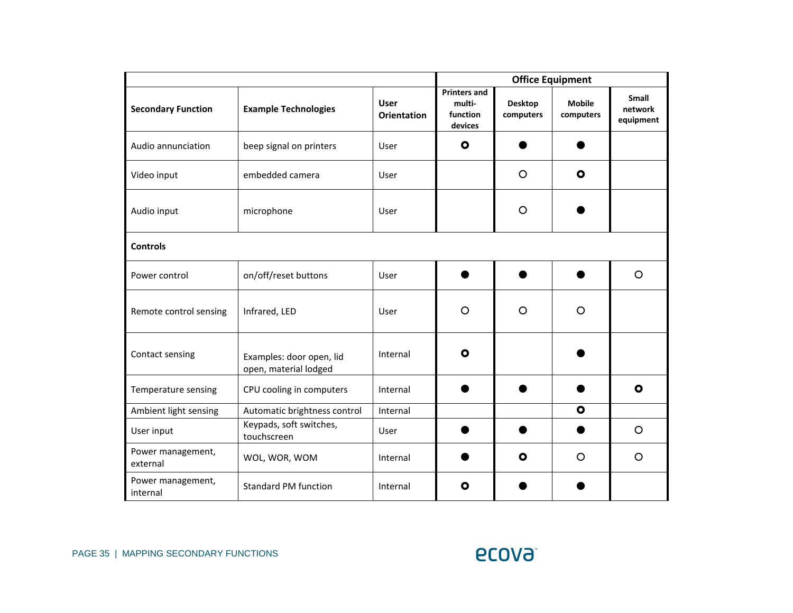|                               |                                                   |                                   | <b>Office Equipment</b>                              |                             |                            |                               |  |  |
|-------------------------------|---------------------------------------------------|-----------------------------------|------------------------------------------------------|-----------------------------|----------------------------|-------------------------------|--|--|
| <b>Secondary Function</b>     | <b>Example Technologies</b>                       | <b>User</b><br><b>Orientation</b> | <b>Printers and</b><br>multi-<br>function<br>devices | <b>Desktop</b><br>computers | <b>Mobile</b><br>computers | Small<br>network<br>equipment |  |  |
| Audio annunciation            | beep signal on printers                           | User                              | $\bullet$                                            |                             |                            |                               |  |  |
| Video input                   | embedded camera                                   | User                              |                                                      | $\circ$                     | $\bullet$                  |                               |  |  |
| Audio input                   | microphone                                        | User                              |                                                      | $\circ$                     |                            |                               |  |  |
| <b>Controls</b>               |                                                   |                                   |                                                      |                             |                            |                               |  |  |
| Power control                 | on/off/reset buttons                              | User                              |                                                      |                             |                            | O                             |  |  |
| Remote control sensing        | Infrared, LED                                     | User                              | O                                                    | $\circ$                     | $\circ$                    |                               |  |  |
| Contact sensing               | Examples: door open, lid<br>open, material lodged | Internal                          | $\mathbf{o}$                                         |                             |                            |                               |  |  |
| Temperature sensing           | CPU cooling in computers                          | Internal                          |                                                      |                             |                            | $\mathbf o$                   |  |  |
| Ambient light sensing         | Automatic brightness control                      | Internal                          |                                                      |                             | $\bullet$                  |                               |  |  |
| User input                    | Keypads, soft switches,<br>touchscreen            | User                              |                                                      |                             |                            | O                             |  |  |
| Power management,<br>external | WOL, WOR, WOM                                     | Internal                          |                                                      | $\mathbf{o}$                | $\Omega$                   | $\circ$                       |  |  |
| Power management,<br>internal | <b>Standard PM function</b>                       | Internal                          | O                                                    |                             |                            |                               |  |  |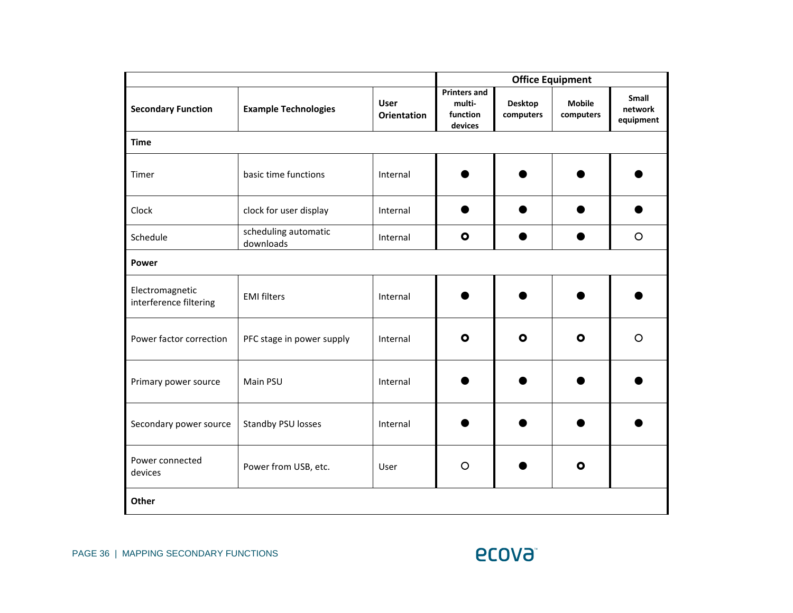|                                           |                                   |                                   |                                                      |                             | <b>Office Equipment</b>    |                               |  |  |  |
|-------------------------------------------|-----------------------------------|-----------------------------------|------------------------------------------------------|-----------------------------|----------------------------|-------------------------------|--|--|--|
| <b>Secondary Function</b>                 | <b>Example Technologies</b>       | <b>User</b><br><b>Orientation</b> | <b>Printers and</b><br>multi-<br>function<br>devices | <b>Desktop</b><br>computers | <b>Mobile</b><br>computers | Small<br>network<br>equipment |  |  |  |
| <b>Time</b>                               |                                   |                                   |                                                      |                             |                            |                               |  |  |  |
| Timer                                     | basic time functions              | Internal                          |                                                      |                             |                            |                               |  |  |  |
| Clock                                     | clock for user display            | Internal                          |                                                      |                             |                            |                               |  |  |  |
| Schedule                                  | scheduling automatic<br>downloads | Internal                          | $\bullet$                                            |                             |                            | $\circ$                       |  |  |  |
| Power                                     |                                   |                                   |                                                      |                             |                            |                               |  |  |  |
| Electromagnetic<br>interference filtering | <b>EMI filters</b>                | Internal                          |                                                      |                             |                            |                               |  |  |  |
| Power factor correction                   | PFC stage in power supply         | Internal                          | $\bullet$                                            | $\bullet$                   | $\bullet$                  | $\circ$                       |  |  |  |
| Primary power source                      | Main PSU                          | Internal                          |                                                      |                             |                            |                               |  |  |  |
| Secondary power source                    | Standby PSU losses                | Internal                          |                                                      |                             |                            |                               |  |  |  |
| Power connected<br>devices                | Power from USB, etc.              | User                              | $\circ$                                              |                             | $\bullet$                  |                               |  |  |  |
| Other                                     |                                   |                                   |                                                      |                             |                            |                               |  |  |  |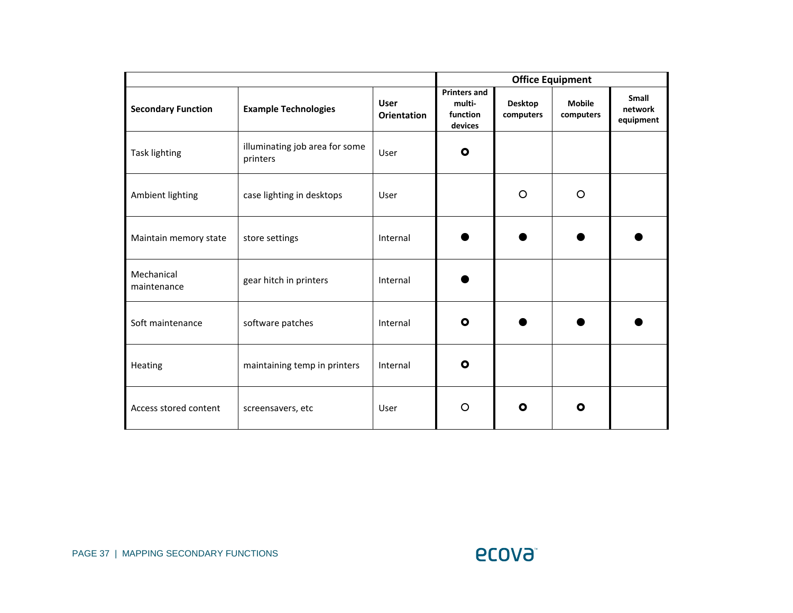|                           |                                            |                                   |                                                      |                             | <b>Office Equipment</b>    |                               |
|---------------------------|--------------------------------------------|-----------------------------------|------------------------------------------------------|-----------------------------|----------------------------|-------------------------------|
| <b>Secondary Function</b> | <b>Example Technologies</b>                | <b>User</b><br><b>Orientation</b> | <b>Printers and</b><br>multi-<br>function<br>devices | <b>Desktop</b><br>computers | <b>Mobile</b><br>computers | Small<br>network<br>equipment |
| <b>Task lighting</b>      | illuminating job area for some<br>printers | User                              | $\bullet$                                            |                             |                            |                               |
| Ambient lighting          | case lighting in desktops                  | User                              |                                                      | $\circ$                     | $\circ$                    |                               |
| Maintain memory state     | store settings                             | Internal                          |                                                      |                             |                            |                               |
| Mechanical<br>maintenance | gear hitch in printers                     | Internal                          |                                                      |                             |                            |                               |
| Soft maintenance          | software patches                           | Internal                          | $\bullet$                                            |                             |                            |                               |
| Heating                   | maintaining temp in printers               | Internal                          | $\bullet$                                            |                             |                            |                               |
| Access stored content     | screensavers, etc                          | User                              | O                                                    | O                           | $\mathbf{o}$               |                               |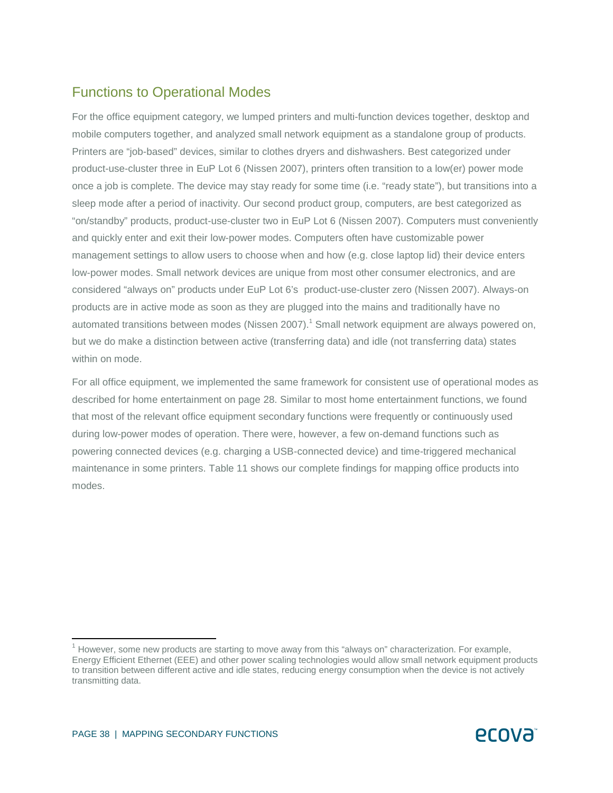## Functions to Operational Modes

For the office equipment category, we lumped printers and multi-function devices together, desktop and mobile computers together, and analyzed small network equipment as a standalone group of products. Printers are "job-based" devices, similar to clothes dryers and dishwashers. Best categorized under product-use-cluster three in EuP Lot 6 (Nissen 2007), printers often transition to a low(er) power mode once a job is complete. The device may stay ready for some time (i.e. "ready state"), but transitions into a sleep mode after a period of inactivity. Our second product group, computers, are best categorized as "on/standby" products, product-use-cluster two in EuP Lot 6 (Nissen 2007). Computers must conveniently and quickly enter and exit their low-power modes. Computers often have customizable power management settings to allow users to choose when and how (e.g. close laptop lid) their device enters low-power modes. Small network devices are unique from most other consumer electronics, and are considered "always on" products under EuP Lot 6's product-use-cluster zero (Nissen 2007). Always-on products are in active mode as soon as they are plugged into the mains and traditionally have no automated transitions between modes (Nissen 2007).<sup>1</sup> Small network equipment are always powered on, but we do make a distinction between active (transferring data) and idle (not transferring data) states within on mode.

For all office equipment, we implemented the same framework for consistent use of operational modes as described for home entertainment on page 28. Similar to most home entertainment functions, we found that most of the relevant office equipment secondary functions were frequently or continuously used during low-power modes of operation. There were, however, a few on-demand functions such as powering connected devices (e.g. charging a USB-connected device) and time-triggered mechanical maintenance in some printers. Table 11 shows our complete findings for mapping office products into modes.

 $\overline{a}$ 

 $1$  However, some new products are starting to move away from this "always on" characterization. For example, Energy Efficient Ethernet (EEE) and other power scaling technologies would allow small network equipment products to transition between different active and idle states, reducing energy consumption when the device is not actively transmitting data.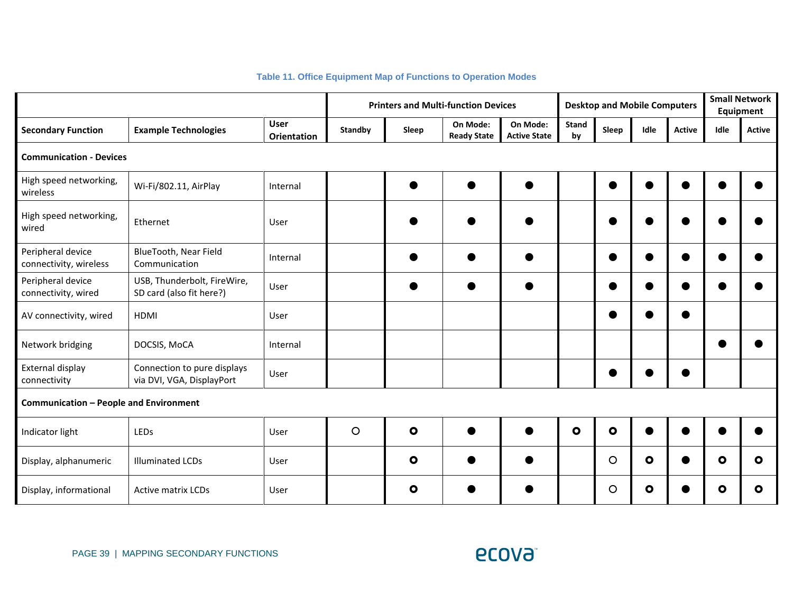|                                               |                                                          |                                   |         | <b>Printers and Multi-function Devices</b> | <b>Desktop and Mobile Computers</b> |                                 |                    |           | <b>Small Network</b><br>Equipment |               |              |               |
|-----------------------------------------------|----------------------------------------------------------|-----------------------------------|---------|--------------------------------------------|-------------------------------------|---------------------------------|--------------------|-----------|-----------------------------------|---------------|--------------|---------------|
| <b>Secondary Function</b>                     | <b>Example Technologies</b>                              | <b>User</b><br><b>Orientation</b> | Standby | Sleep                                      | On Mode:<br><b>Ready State</b>      | On Mode:<br><b>Active State</b> | <b>Stand</b><br>by | Sleep     | Idle                              | <b>Active</b> | Idle         | <b>Active</b> |
| <b>Communication - Devices</b>                |                                                          |                                   |         |                                            |                                     |                                 |                    |           |                                   |               |              |               |
| High speed networking,<br>wireless            | Wi-Fi/802.11, AirPlay                                    | Internal                          |         |                                            | $\bullet$                           |                                 |                    | $\bullet$ |                                   |               |              |               |
| High speed networking,<br>wired               | Ethernet                                                 | User                              |         |                                            |                                     |                                 |                    |           |                                   |               |              |               |
| Peripheral device<br>connectivity, wireless   | BlueTooth, Near Field<br>Communication                   | Internal                          |         |                                            |                                     |                                 |                    | e         |                                   |               |              |               |
| Peripheral device<br>connectivity, wired      | USB, Thunderbolt, FireWire,<br>SD card (also fit here?)  | User                              |         |                                            |                                     |                                 |                    | e         |                                   |               |              |               |
| AV connectivity, wired                        | <b>HDMI</b>                                              | User                              |         |                                            |                                     |                                 |                    | e         |                                   | ●             |              |               |
| Network bridging                              | DOCSIS, MoCA                                             | Internal                          |         |                                            |                                     |                                 |                    |           |                                   |               |              |               |
| External display<br>connectivity              | Connection to pure displays<br>via DVI, VGA, DisplayPort | User                              |         |                                            |                                     |                                 |                    |           |                                   |               |              |               |
| <b>Communication - People and Environment</b> |                                                          |                                   |         |                                            |                                     |                                 |                    |           |                                   |               |              |               |
| Indicator light                               | LEDs                                                     | User                              | $\circ$ | $\bullet$                                  |                                     |                                 | $\bullet$          | $\bullet$ |                                   |               |              |               |
| Display, alphanumeric                         | <b>Illuminated LCDs</b>                                  | User                              |         | $\bullet$                                  |                                     |                                 |                    | $\circ$   | $\bullet$                         |               | $\bullet$    | $\bullet$     |
| Display, informational                        | <b>Active matrix LCDs</b>                                | User                              |         | $\mathbf{o}$                               |                                     |                                 |                    | $\circ$   | O                                 |               | $\mathbf{o}$ | O             |

#### **Table 11. Office Equipment Map of Functions to Operation Modes**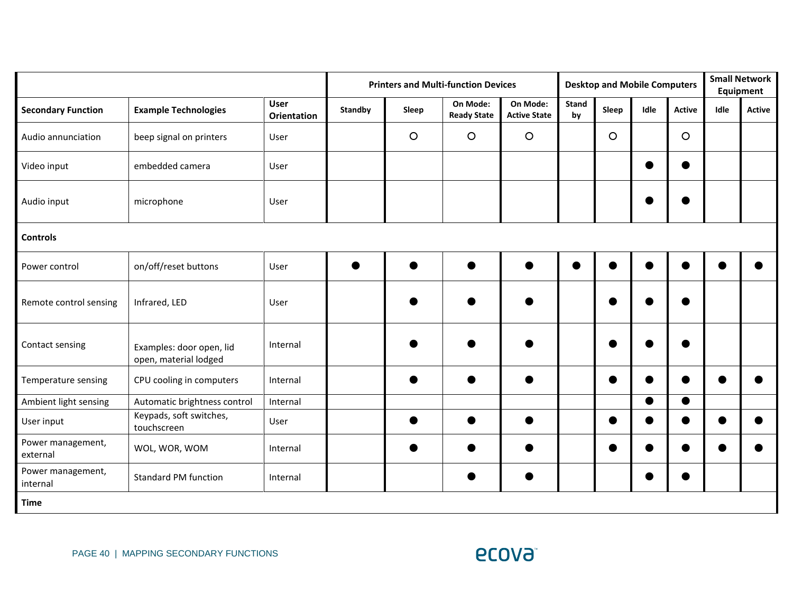|                               |                                                   |                                   |                |         | <b>Printers and Multi-function Devices</b> |                                 | <b>Desktop and Mobile Computers</b> |           |      |               | <b>Small Network</b><br>Equipment |               |
|-------------------------------|---------------------------------------------------|-----------------------------------|----------------|---------|--------------------------------------------|---------------------------------|-------------------------------------|-----------|------|---------------|-----------------------------------|---------------|
| <b>Secondary Function</b>     | <b>Example Technologies</b>                       | <b>User</b><br><b>Orientation</b> | <b>Standby</b> | Sleep   | On Mode:<br><b>Ready State</b>             | On Mode:<br><b>Active State</b> | <b>Stand</b><br>by                  | Sleep     | Idle | <b>Active</b> | Idle                              | <b>Active</b> |
| Audio annunciation            | beep signal on printers                           | User                              |                | $\circ$ | $\circ$                                    | $\circ$                         |                                     | $\circ$   |      | $\circ$       |                                   |               |
| Video input                   | embedded camera                                   | User                              |                |         |                                            |                                 |                                     |           |      |               |                                   |               |
| Audio input                   | microphone                                        | User                              |                |         |                                            |                                 |                                     |           |      |               |                                   |               |
| <b>Controls</b>               |                                                   |                                   |                |         |                                            |                                 |                                     |           |      |               |                                   |               |
| Power control                 | on/off/reset buttons                              | User                              |                |         |                                            |                                 |                                     | $\bullet$ |      | e             |                                   |               |
| Remote control sensing        | Infrared, LED                                     | User                              |                |         |                                            |                                 |                                     | e         |      |               |                                   |               |
| Contact sensing               | Examples: door open, lid<br>open, material lodged | Internal                          |                |         |                                            |                                 |                                     |           |      |               |                                   |               |
| Temperature sensing           | CPU cooling in computers                          | Internal                          |                |         |                                            |                                 |                                     | e         |      |               |                                   |               |
| Ambient light sensing         | Automatic brightness control                      | Internal                          |                |         |                                            |                                 |                                     |           | ●    | $\bullet$     |                                   |               |
| User input                    | Keypads, soft switches,<br>touchscreen            | User                              |                |         |                                            |                                 |                                     | $\bullet$ |      |               |                                   |               |
| Power management,<br>external | WOL, WOR, WOM                                     | Internal                          |                |         |                                            |                                 |                                     | C         |      |               |                                   |               |
| Power management,<br>internal | <b>Standard PM function</b>                       | Internal                          |                |         |                                            |                                 |                                     |           |      |               |                                   |               |
| <b>Time</b>                   |                                                   |                                   |                |         |                                            |                                 |                                     |           |      |               |                                   |               |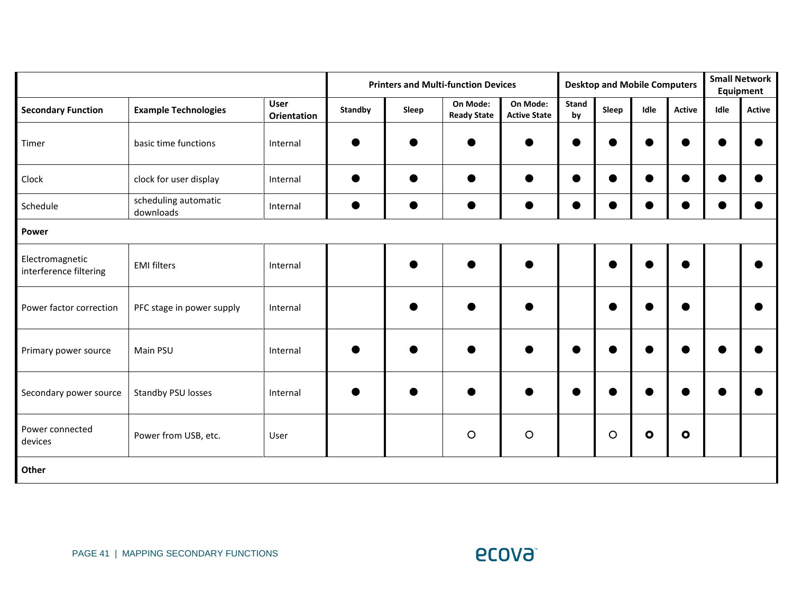|                                           |                                   |                            |                |       | <b>Printers and Multi-function Devices</b> |                                 | <b>Desktop and Mobile Computers</b> |           |           | <b>Small Network</b><br>Equipment |      |               |
|-------------------------------------------|-----------------------------------|----------------------------|----------------|-------|--------------------------------------------|---------------------------------|-------------------------------------|-----------|-----------|-----------------------------------|------|---------------|
| <b>Secondary Function</b>                 | <b>Example Technologies</b>       | <b>User</b><br>Orientation | <b>Standby</b> | Sleep | On Mode:<br><b>Ready State</b>             | On Mode:<br><b>Active State</b> | <b>Stand</b><br>by                  | Sleep     | Idle      | <b>Active</b>                     | Idle | <b>Active</b> |
| Timer                                     | basic time functions              | Internal                   |                |       |                                            |                                 | ●                                   | $\bullet$ | ●         |                                   |      |               |
| Clock                                     | clock for user display            | Internal                   |                |       |                                            |                                 | ●                                   | $\bullet$ | $\bullet$ | c                                 |      |               |
| Schedule                                  | scheduling automatic<br>downloads | Internal                   |                |       |                                            |                                 | $\bullet$                           | $\bullet$ |           |                                   |      |               |
| Power                                     |                                   |                            |                |       |                                            |                                 |                                     |           |           |                                   |      |               |
| Electromagnetic<br>interference filtering | <b>EMI filters</b>                | Internal                   |                |       |                                            |                                 |                                     | e         |           | $\bullet$                         |      |               |
| Power factor correction                   | PFC stage in power supply         | Internal                   |                |       |                                            |                                 |                                     | e         |           | $\epsilon$                        |      |               |
| Primary power source                      | Main PSU                          | Internal                   |                |       |                                            |                                 |                                     |           |           |                                   |      |               |
| Secondary power source                    | Standby PSU losses                | Internal                   |                |       |                                            |                                 |                                     |           |           |                                   |      |               |
| Power connected<br>devices                | Power from USB, etc.              | User                       |                |       | $\circ$                                    | $\circ$                         |                                     | $\circ$   | $\bullet$ | $\bullet$                         |      |               |
| Other                                     |                                   |                            |                |       |                                            |                                 |                                     |           |           |                                   |      |               |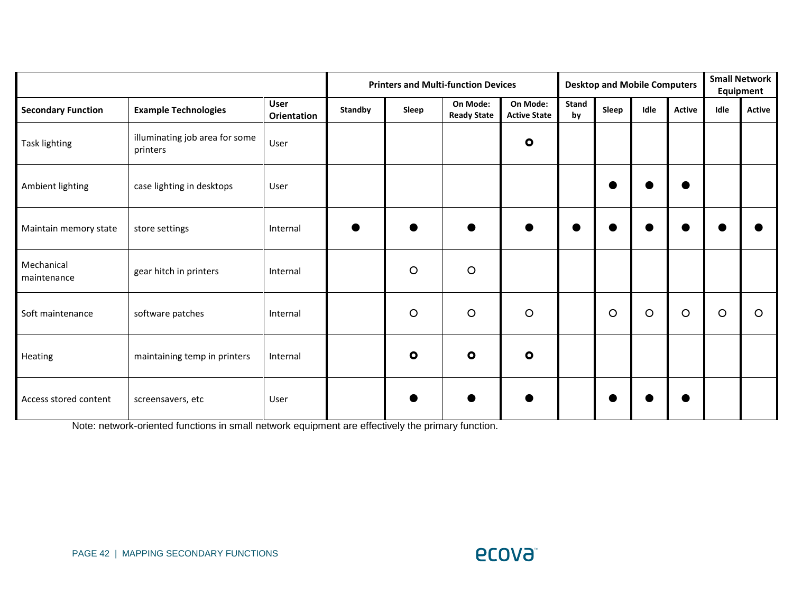|                           |                                            |                                   |                | <b>Printers and Multi-function Devices</b> |                                |                                 |                    | <b>Desktop and Mobile Computers</b> |         |               |         | <b>Small Network</b><br>Equipment |  |
|---------------------------|--------------------------------------------|-----------------------------------|----------------|--------------------------------------------|--------------------------------|---------------------------------|--------------------|-------------------------------------|---------|---------------|---------|-----------------------------------|--|
| <b>Secondary Function</b> | <b>Example Technologies</b>                | <b>User</b><br><b>Orientation</b> | <b>Standby</b> | Sleep                                      | On Mode:<br><b>Ready State</b> | On Mode:<br><b>Active State</b> | <b>Stand</b><br>by | Sleep                               | Idle    | <b>Active</b> | Idle    | <b>Active</b>                     |  |
| Task lighting             | illuminating job area for some<br>printers | User                              |                |                                            |                                | $\bullet$                       |                    |                                     |         |               |         |                                   |  |
| Ambient lighting          | case lighting in desktops                  | User                              |                |                                            |                                |                                 |                    |                                     |         |               |         |                                   |  |
| Maintain memory state     | store settings                             | Internal                          |                |                                            |                                |                                 |                    |                                     |         |               |         |                                   |  |
| Mechanical<br>maintenance | gear hitch in printers                     | Internal                          |                | $\circ$                                    | $\circ$                        |                                 |                    |                                     |         |               |         |                                   |  |
| Soft maintenance          | software patches                           | Internal                          |                | $\circ$                                    | $\circ$                        | $\circ$                         |                    | $\circ$                             | $\circ$ | $\circ$       | $\circ$ | $\circ$                           |  |
| Heating                   | maintaining temp in printers               | Internal                          |                | O                                          | $\bullet$                      | $\bullet$                       |                    |                                     |         |               |         |                                   |  |
| Access stored content     | screensavers, etc                          | User                              |                |                                            |                                |                                 |                    |                                     |         |               |         |                                   |  |

Note: network-oriented functions in small network equipment are effectively the primary function.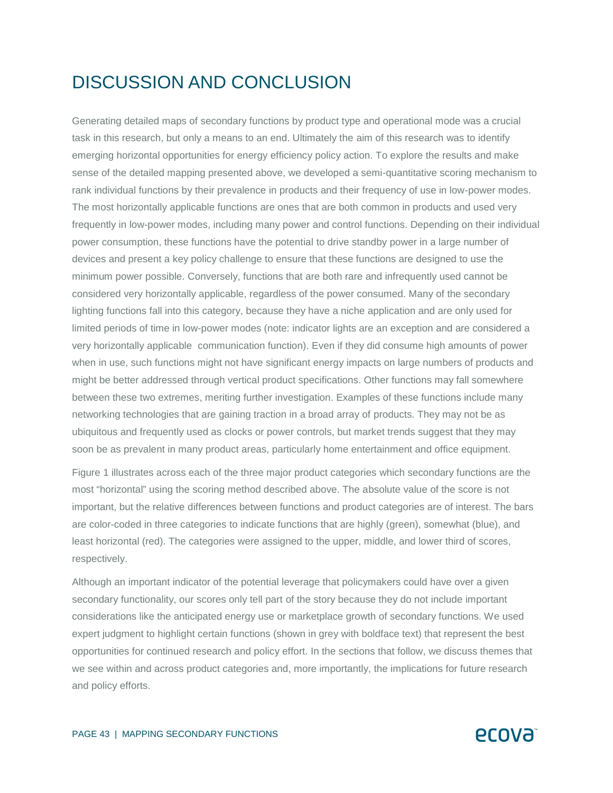## DISCUSSION AND CONCLUSION

Generating detailed maps of secondary functions by product type and operational mode was a crucial task in this research, but only a means to an end. Ultimately the aim of this research was to identify emerging horizontal opportunities for energy efficiency policy action. To explore the results and make sense of the detailed mapping presented above, we developed a semi-quantitative scoring mechanism to rank individual functions by their prevalence in products and their frequency of use in low-power modes. The most horizontally applicable functions are ones that are both common in products and used very frequently in low-power modes, including many power and control functions. Depending on their individual power consumption, these functions have the potential to drive standby power in a large number of devices and present a key policy challenge to ensure that these functions are designed to use the minimum power possible. Conversely, functions that are both rare and infrequently used cannot be considered very horizontally applicable, regardless of the power consumed. Many of the secondary lighting functions fall into this category, because they have a niche application and are only used for limited periods of time in low-power modes (note: indicator lights are an exception and are considered a very horizontally applicable communication function). Even if they did consume high amounts of power when in use, such functions might not have significant energy impacts on large numbers of products and might be better addressed through vertical product specifications. Other functions may fall somewhere between these two extremes, meriting further investigation. Examples of these functions include many networking technologies that are gaining traction in a broad array of products. They may not be as ubiquitous and frequently used as clocks or power controls, but market trends suggest that they may soon be as prevalent in many product areas, particularly home entertainment and office equipment.

Figure 1 illustrates across each of the three major product categories which secondary functions are the most "horizontal" using the scoring method described above. The absolute value of the score is not important, but the relative differences between functions and product categories are of interest. The bars are color-coded in three categories to indicate functions that are highly (green), somewhat (blue), and least horizontal (red). The categories were assigned to the upper, middle, and lower third of scores, respectively.

Although an important indicator of the potential leverage that policymakers could have over a given secondary functionality, our scores only tell part of the story because they do not include important considerations like the anticipated energy use or marketplace growth of secondary functions. We used expert judgment to highlight certain functions (shown in grey with boldface text) that represent the best opportunities for continued research and policy effort. In the sections that follow, we discuss themes that we see within and across product categories and, more importantly, the implications for future research and policy efforts.

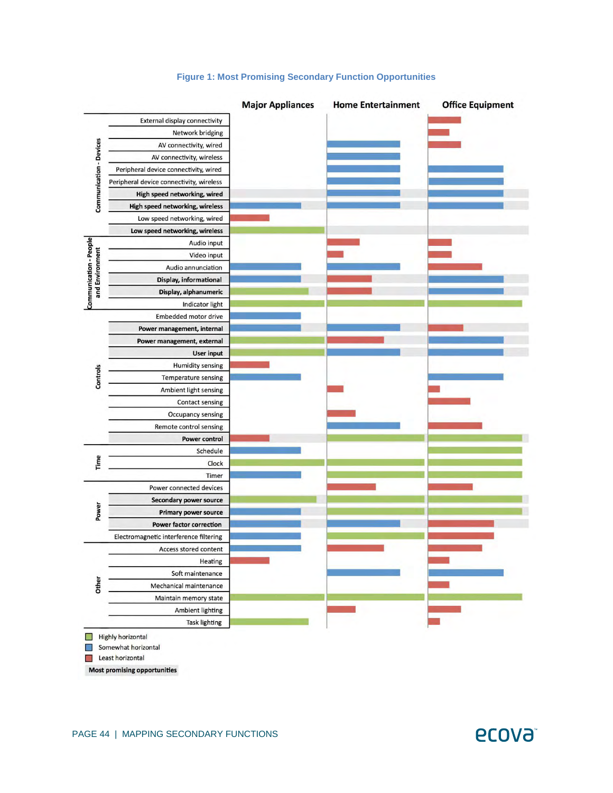

#### **Figure 1: Most Promising Secondary Function Opportunities**

Somewhat horizontal

Least horizontal

**Most promising opportunities** 

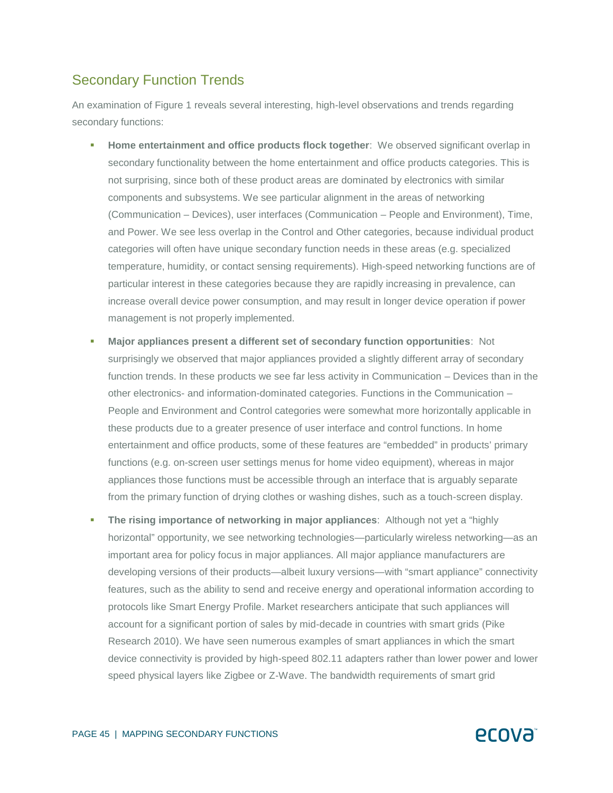### Secondary Function Trends

An examination of Figure 1 reveals several interesting, high-level observations and trends regarding secondary functions:

- **Home entertainment and office products flock together**: We observed significant overlap in secondary functionality between the home entertainment and office products categories. This is not surprising, since both of these product areas are dominated by electronics with similar components and subsystems. We see particular alignment in the areas of networking (Communication – Devices), user interfaces (Communication – People and Environment), Time, and Power. We see less overlap in the Control and Other categories, because individual product categories will often have unique secondary function needs in these areas (e.g. specialized temperature, humidity, or contact sensing requirements). High-speed networking functions are of particular interest in these categories because they are rapidly increasing in prevalence, can increase overall device power consumption, and may result in longer device operation if power management is not properly implemented.
- **Major appliances present a different set of secondary function opportunities**: Not surprisingly we observed that major appliances provided a slightly different array of secondary function trends. In these products we see far less activity in Communication – Devices than in the other electronics- and information-dominated categories. Functions in the Communication – People and Environment and Control categories were somewhat more horizontally applicable in these products due to a greater presence of user interface and control functions. In home entertainment and office products, some of these features are "embedded" in products' primary functions (e.g. on-screen user settings menus for home video equipment), whereas in major appliances those functions must be accessible through an interface that is arguably separate from the primary function of drying clothes or washing dishes, such as a touch-screen display.
- **The rising importance of networking in major appliances**: Although not yet a "highly horizontal" opportunity, we see networking technologies—particularly wireless networking—as an important area for policy focus in major appliances. All major appliance manufacturers are developing versions of their products—albeit luxury versions—with "smart appliance" connectivity features, such as the ability to send and receive energy and operational information according to protocols like Smart Energy Profile. Market researchers anticipate that such appliances will account for a significant portion of sales by mid-decade in countries with smart grids (Pike Research 2010). We have seen numerous examples of smart appliances in which the smart device connectivity is provided by high-speed 802.11 adapters rather than lower power and lower speed physical layers like Zigbee or Z-Wave. The bandwidth requirements of smart grid

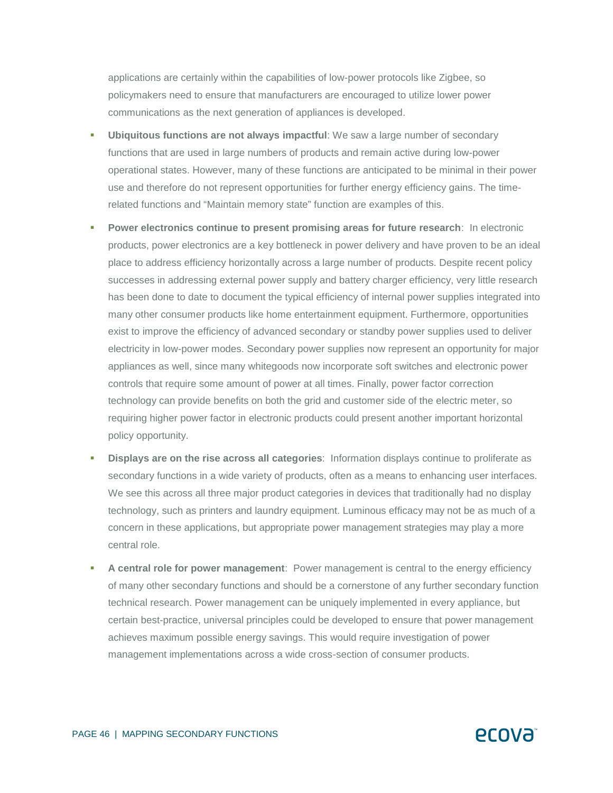applications are certainly within the capabilities of low-power protocols like Zigbee, so policymakers need to ensure that manufacturers are encouraged to utilize lower power communications as the next generation of appliances is developed.

- **Ubiquitous functions are not always impactful**: We saw a large number of secondary functions that are used in large numbers of products and remain active during low-power operational states. However, many of these functions are anticipated to be minimal in their power use and therefore do not represent opportunities for further energy efficiency gains. The timerelated functions and "Maintain memory state" function are examples of this.
- **Power electronics continue to present promising areas for future research:** In electronic products, power electronics are a key bottleneck in power delivery and have proven to be an ideal place to address efficiency horizontally across a large number of products. Despite recent policy successes in addressing external power supply and battery charger efficiency, very little research has been done to date to document the typical efficiency of internal power supplies integrated into many other consumer products like home entertainment equipment. Furthermore, opportunities exist to improve the efficiency of advanced secondary or standby power supplies used to deliver electricity in low-power modes. Secondary power supplies now represent an opportunity for major appliances as well, since many whitegoods now incorporate soft switches and electronic power controls that require some amount of power at all times. Finally, power factor correction technology can provide benefits on both the grid and customer side of the electric meter, so requiring higher power factor in electronic products could present another important horizontal policy opportunity.
- **Displays are on the rise across all categories**: Information displays continue to proliferate as secondary functions in a wide variety of products, often as a means to enhancing user interfaces. We see this across all three major product categories in devices that traditionally had no display technology, such as printers and laundry equipment. Luminous efficacy may not be as much of a concern in these applications, but appropriate power management strategies may play a more central role.
- **A central role for power management**: Power management is central to the energy efficiency of many other secondary functions and should be a cornerstone of any further secondary function technical research. Power management can be uniquely implemented in every appliance, but certain best-practice, universal principles could be developed to ensure that power management achieves maximum possible energy savings. This would require investigation of power management implementations across a wide cross-section of consumer products.



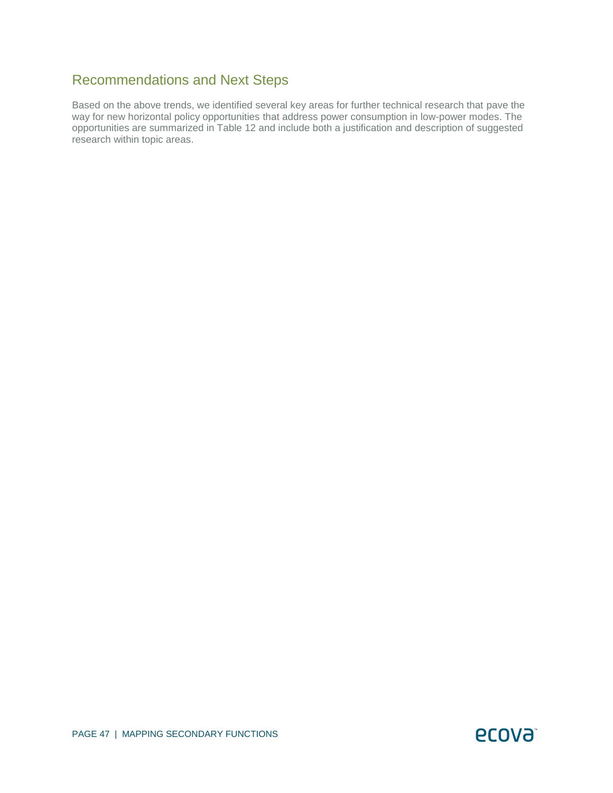## Recommendations and Next Steps

Based on the above trends, we identified several key areas for further technical research that pave the way for new horizontal policy opportunities that address power consumption in low-power modes. The opportunities are summarized in Table 12 and include both a justification and description of suggested research within topic areas.

ecova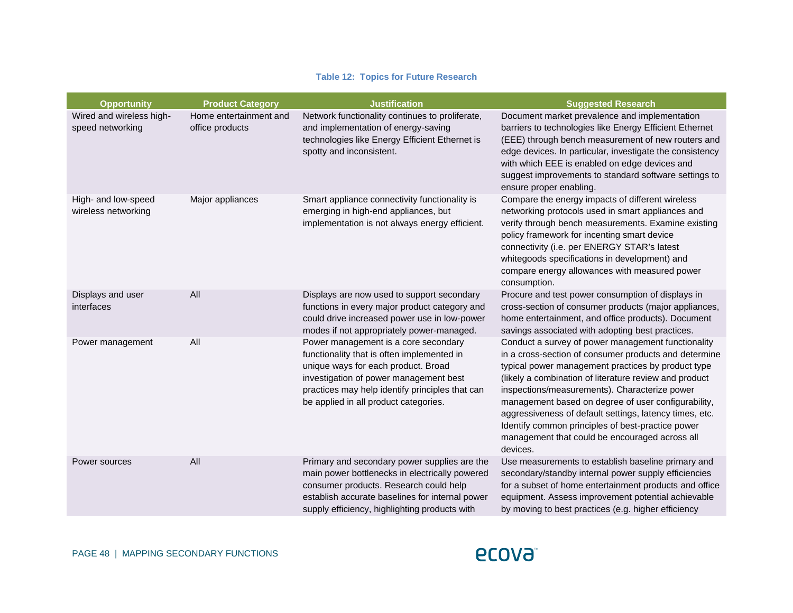#### **Table 12: Topics for Future Research**

| <b>Opportunity</b>                           | <b>Product Category</b>                   | <b>Justification</b>                                                                                                                                                                                                                                            | <b>Suggested Research</b>                                                                                                                                                                                                                                                                                                                                                                                                                                                                                         |
|----------------------------------------------|-------------------------------------------|-----------------------------------------------------------------------------------------------------------------------------------------------------------------------------------------------------------------------------------------------------------------|-------------------------------------------------------------------------------------------------------------------------------------------------------------------------------------------------------------------------------------------------------------------------------------------------------------------------------------------------------------------------------------------------------------------------------------------------------------------------------------------------------------------|
| Wired and wireless high-<br>speed networking | Home entertainment and<br>office products | Network functionality continues to proliferate,<br>and implementation of energy-saving<br>technologies like Energy Efficient Ethernet is<br>spotty and inconsistent.                                                                                            | Document market prevalence and implementation<br>barriers to technologies like Energy Efficient Ethernet<br>(EEE) through bench measurement of new routers and<br>edge devices. In particular, investigate the consistency<br>with which EEE is enabled on edge devices and<br>suggest improvements to standard software settings to<br>ensure proper enabling.                                                                                                                                                   |
| High- and low-speed<br>wireless networking   | Major appliances                          | Smart appliance connectivity functionality is<br>emerging in high-end appliances, but<br>implementation is not always energy efficient.                                                                                                                         | Compare the energy impacts of different wireless<br>networking protocols used in smart appliances and<br>verify through bench measurements. Examine existing<br>policy framework for incenting smart device<br>connectivity (i.e. per ENERGY STAR's latest<br>whitegoods specifications in development) and<br>compare energy allowances with measured power<br>consumption.                                                                                                                                      |
| Displays and user<br>interfaces              | All                                       | Displays are now used to support secondary<br>functions in every major product category and<br>could drive increased power use in low-power<br>modes if not appropriately power-managed.                                                                        | Procure and test power consumption of displays in<br>cross-section of consumer products (major appliances,<br>home entertainment, and office products). Document<br>savings associated with adopting best practices.                                                                                                                                                                                                                                                                                              |
| Power management                             | All                                       | Power management is a core secondary<br>functionality that is often implemented in<br>unique ways for each product. Broad<br>investigation of power management best<br>practices may help identify principles that can<br>be applied in all product categories. | Conduct a survey of power management functionality<br>in a cross-section of consumer products and determine<br>typical power management practices by product type<br>(likely a combination of literature review and product<br>inspections/measurements). Characterize power<br>management based on degree of user configurability,<br>aggressiveness of default settings, latency times, etc.<br>Identify common principles of best-practice power<br>management that could be encouraged across all<br>devices. |
| Power sources                                | All                                       | Primary and secondary power supplies are the<br>main power bottlenecks in electrically powered<br>consumer products. Research could help<br>establish accurate baselines for internal power<br>supply efficiency, highlighting products with                    | Use measurements to establish baseline primary and<br>secondary/standby internal power supply efficiencies<br>for a subset of home entertainment products and office<br>equipment. Assess improvement potential achievable<br>by moving to best practices (e.g. higher efficiency                                                                                                                                                                                                                                 |

## **ECOVƏ**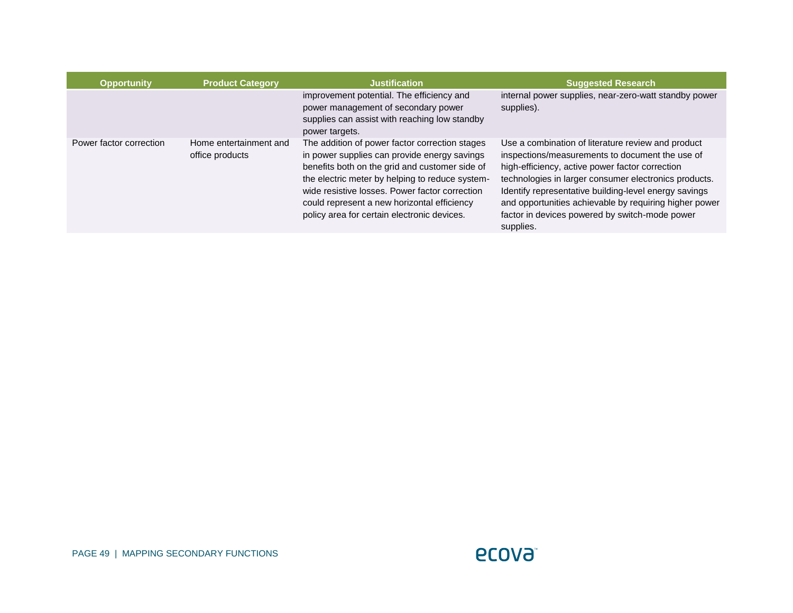| <b>Opportunity</b>      | <b>Product Category</b>                   | <b>Justification</b>                                                                                                                                                                                                                                                                                                                                | <b>Suggested Research</b>                                                                                                                                                                                                                                                                                                                                                                           |
|-------------------------|-------------------------------------------|-----------------------------------------------------------------------------------------------------------------------------------------------------------------------------------------------------------------------------------------------------------------------------------------------------------------------------------------------------|-----------------------------------------------------------------------------------------------------------------------------------------------------------------------------------------------------------------------------------------------------------------------------------------------------------------------------------------------------------------------------------------------------|
|                         |                                           | improvement potential. The efficiency and<br>power management of secondary power<br>supplies can assist with reaching low standby<br>power targets.                                                                                                                                                                                                 | internal power supplies, near-zero-watt standby power<br>supplies).                                                                                                                                                                                                                                                                                                                                 |
| Power factor correction | Home entertainment and<br>office products | The addition of power factor correction stages<br>in power supplies can provide energy savings<br>benefits both on the grid and customer side of<br>the electric meter by helping to reduce system-<br>wide resistive losses. Power factor correction<br>could represent a new horizontal efficiency<br>policy area for certain electronic devices. | Use a combination of literature review and product<br>inspections/measurements to document the use of<br>high-efficiency, active power factor correction<br>technologies in larger consumer electronics products.<br>Identify representative building-level energy savings<br>and opportunities achievable by requiring higher power<br>factor in devices powered by switch-mode power<br>supplies. |